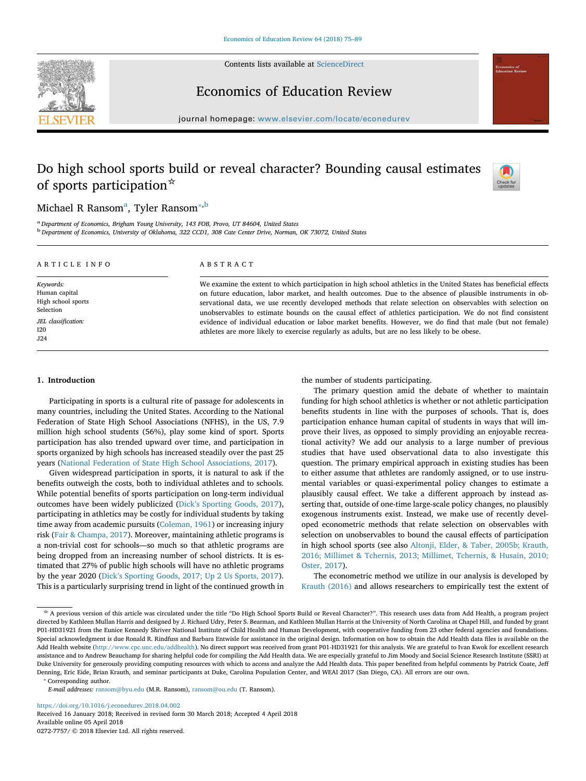Contents lists available at ScienceDirect





## Economics of Education Review

journal homepage: www.elsevier.com/locate/econedurev

# Do high school sports build or reveal character? Bounding causal estimates of sports participation $\dot{r}$



## Michael R Ransom<sup>a</sup>, Tyler Ransom<sup>\*,b</sup>

a *Department of Economics, Brigham Young University, 143 FOB, Provo, UT 84604, United States* b *Department of Economics, University of Oklahoma, 322 CCD1, 308 Cate Center Drive, Norman, OK 73072, United States*

| ARTICLE INFO                                                                                              | ABSTRACT                                                                                                                                                                                                                                                                                                                                                                                                                                                                                                                                                                                                                                                                   |
|-----------------------------------------------------------------------------------------------------------|----------------------------------------------------------------------------------------------------------------------------------------------------------------------------------------------------------------------------------------------------------------------------------------------------------------------------------------------------------------------------------------------------------------------------------------------------------------------------------------------------------------------------------------------------------------------------------------------------------------------------------------------------------------------------|
| Keywords:<br>Human capital<br>High school sports<br>Selection<br>JEL classification:<br><b>I20</b><br>J24 | We examine the extent to which participation in high school athletics in the United States has beneficial effects<br>on future education, labor market, and health outcomes. Due to the absence of plausible instruments in ob-<br>servational data, we use recently developed methods that relate selection on observables with selection on<br>unobservables to estimate bounds on the causal effect of athletics participation. We do not find consistent<br>evidence of individual education or labor market benefits. However, we do find that male (but not female)<br>athletes are more likely to exercise regularly as adults, but are no less likely to be obese. |

## 1. Introduction

Participating in sports is a cultural rite of passage for adolescents in many countries, including the United States. According to the National Federation of State High School Associations (NFHS), in the US, 7.9 million high school students (56%), play some kind of sport. Sports participation has also trended upward over time, and participation in sports organized by high schools has increased steadily over the past 25 years (National Federation of State High School Associations, 2017).

Given widespread participation in sports, it is natural to ask if the benefits outweigh the costs, both to individual athletes and to schools. While potential benefits of sports participation on long-term individual outcomes have been widely publicized (Dick's Sporting Goods, 2017), participating in athletics may be costly for individual students by taking time away from academic pursuits (Coleman, 1961) or increasing injury risk (Fair & Champa, 2017). Moreover, maintaining athletic programs is a non-trivial cost for schools—so much so that athletic programs are being dropped from an increasing number of school districts. It is estimated that 27% of public high schools will have no athletic programs by the year 2020 (Dick's Sporting Goods, 2017; Up 2 Us Sports, 2017). This is a particularly surprising trend in light of the continued growth in the number of students participating.

The primary question amid the debate of whether to maintain funding for high school athletics is whether or not athletic participation benefits students in line with the purposes of schools. That is, does participation enhance human capital of students in ways that will improve their lives, as opposed to simply providing an enjoyable recreational activity? We add our analysis to a large number of previous studies that have used observational data to also investigate this question. The primary empirical approach in existing studies has been to either assume that athletes are randomly assigned, or to use instrumental variables or quasi-experimental policy changes to estimate a plausibly causal effect. We take a different approach by instead asserting that, outside of one-time large-scale policy changes, no plausibly exogenous instruments exist. Instead, we make use of recently developed econometric methods that relate selection on observables with selection on unobservables to bound the causal effects of participation in high school sports (see also Altonji, Elder, & Taber, 2005b; Krauth, 2016; Millimet & Tchernis, 2013; Millimet, Tchernis, & Husain, 2010; Oster, 2017).

The econometric method we utilize in our analysis is developed by Krauth (2016) and allows researchers to empirically test the extent of

https://doi.org/10.1016/j.econedurev.2018.04.002

0272-7757/ © 2018 Elsevier Ltd. All rights reserved.

<sup>\*</sup> A previous version of this article was circulated under the title "Do High School Sports Build or Reveal Character?". This research uses data from Add Health, a program project directed by Kathleen Mullan Harris and designed by J. Richard Udry, Peter S. Bearman, and Kathleen Mullan Harris at the University of North Carolina at Chapel Hill, and funded by grant P01-HD31921 from the Eunice Kennedy Shriver National Institute of Child Health and Human Development, with cooperative funding from 23 other federal agencies and foundations. Special acknowledgment is due Ronald R. Rindfuss and Barbara Entwisle for assistance in the original design. Information on how to obtain the Add Health data files is available on the Add Health website (http://www.cpc.unc.edu/addhealth). No direct support was received from grant P01-HD31921 for this analysis. We are grateful to Ivan Kwok for excellent research assistance and to Andrew Beauchamp for sharing helpful code for compiling the Add Health data. We are especially grateful to Jim Moody and Social Science Research Institute (SSRI) at Duke University for generously providing computing resources with which to access and analyze the Add Health data. This paper benefited from helpful comments by Patrick Coate, Jeff Denning, Eric Eide, Brian Krauth, and seminar participants at Duke, Carolina Population Center, and WEAI 2017 (San Diego, CA). All errors are our own.

<sup>⁎</sup> Corresponding author.

*E-mail addresses:* ransom@byu.edu (M.R. Ransom), ransom@ou.edu (T. Ransom).

Received 16 January 2018; Received in revised form 30 March 2018; Accepted 4 April 2018 Available online 05 April 2018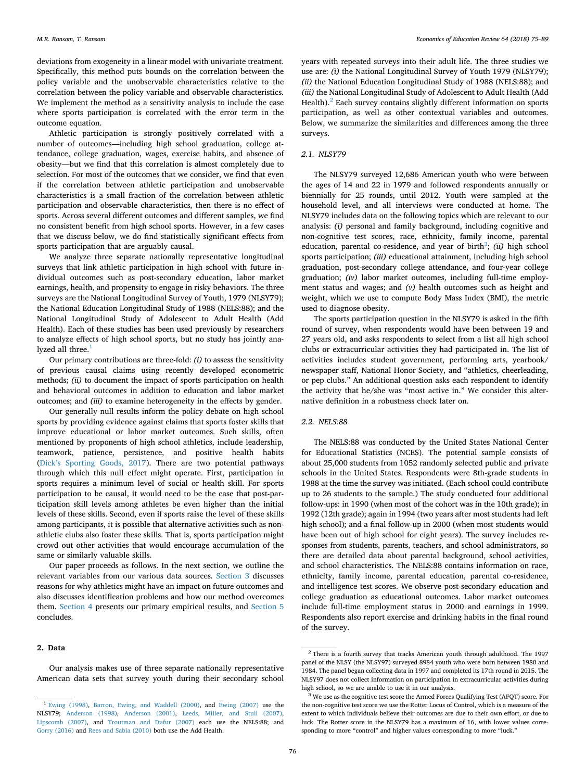deviations from exogeneity in a linear model with univariate treatment. Specifically, this method puts bounds on the correlation between the policy variable and the unobservable characteristics relative to the correlation between the policy variable and observable characteristics. We implement the method as a sensitivity analysis to include the case where sports participation is correlated with the error term in the outcome equation.

Athletic participation is strongly positively correlated with a number of outcomes—including high school graduation, college attendance, college graduation, wages, exercise habits, and absence of obesity—but we find that this correlation is almost completely due to selection. For most of the outcomes that we consider, we find that even if the correlation between athletic participation and unobservable characteristics is a small fraction of the correlation between athletic participation and observable characteristics, then there is no effect of sports. Across several different outcomes and different samples, we find no consistent benefit from high school sports. However, in a few cases that we discuss below, we do find statistically significant effects from sports participation that are arguably causal.

We analyze three separate nationally representative longitudinal surveys that link athletic participation in high school with future individual outcomes such as post-secondary education, labor market earnings, health, and propensity to engage in risky behaviors. The three surveys are the National Longitudinal Survey of Youth, 1979 (NLSY79); the National Education Longitudinal Study of 1988 (NELS:88); and the National Longitudinal Study of Adolescent to Adult Health (Add Health). Each of these studies has been used previously by researchers to analyze effects of high school sports, but no study has jointly analyzed all three.

Our primary contributions are three-fold: *(i)* to assess the sensitivity of previous causal claims using recently developed econometric methods; *(ii)* to document the impact of sports participation on health and behavioral outcomes in addition to education and labor market outcomes; and *(iii)* to examine heterogeneity in the effects by gender.

Our generally null results inform the policy debate on high school sports by providing evidence against claims that sports foster skills that improve educational or labor market outcomes. Such skills, often mentioned by proponents of high school athletics, include leadership, teamwork, patience, persistence, and positive health habits (Dick's Sporting Goods, 2017). There are two potential pathways through which this null effect might operate. First, participation in sports requires a minimum level of social or health skill. For sports participation to be causal, it would need to be the case that post-participation skill levels among athletes be even higher than the initial levels of these skills. Second, even if sports raise the level of these skills among participants, it is possible that alternative activities such as nonathletic clubs also foster these skills. That is, sports participation might crowd out other activities that would encourage accumulation of the same or similarly valuable skills.

Our paper proceeds as follows. In the next section, we outline the relevant variables from our various data sources. Section 3 discusses reasons for why athletics might have an impact on future outcomes and also discusses identification problems and how our method overcomes them. Section 4 presents our primary empirical results, and Section 5 concludes.

## 2. Data

Our analysis makes use of three separate nationally representative American data sets that survey youth during their secondary school

years with repeated surveys into their adult life. The three studies we use are: *(i)* the National Longitudinal Survey of Youth 1979 (NLSY79); *(ii)* the National Education Longitudinal Study of 1988 (NELS:88); and *(iii)* the National Longitudinal Study of Adolescent to Adult Health (Add Health).<sup>2</sup> Each survey contains slightly different information on sports participation, as well as other contextual variables and outcomes. Below, we summarize the similarities and differences among the three surveys.

## *2.1. NLSY79*

The NLSY79 surveyed 12,686 American youth who were between the ages of 14 and 22 in 1979 and followed respondents annually or biennially for 25 rounds, until 2012. Youth were sampled at the household level, and all interviews were conducted at home. The NLSY79 includes data on the following topics which are relevant to our analysis: *(i)* personal and family background, including cognitive and non-cognitive test scores, race, ethnicity, family income, parental education, parental co-residence, and year of birth<sup>3</sup>; (ii) high school sports participation; *(iii)* educational attainment, including high school graduation, post-secondary college attendance, and four-year college graduation; *(iv)* labor market outcomes, including full-time employment status and wages; and *(v)* health outcomes such as height and weight, which we use to compute Body Mass Index (BMI), the metric used to diagnose obesity.

The sports participation question in the NLSY79 is asked in the fifth round of survey, when respondents would have been between 19 and 27 years old, and asks respondents to select from a list all high school clubs or extracurricular activities they had participated in. The list of activities includes student government, performing arts, yearbook/ newspaper staff, National Honor Society, and "athletics, cheerleading, or pep clubs." An additional question asks each respondent to identify the activity that he/she was "most active in." We consider this alternative definition in a robustness check later on.

## *2.2. NELS:88*

The NELS:88 was conducted by the United States National Center for Educational Statistics (NCES). The potential sample consists of about 25,000 students from 1052 randomly selected public and private schools in the United States. Respondents were 8th-grade students in 1988 at the time the survey was initiated. (Each school could contribute up to 26 students to the sample.) The study conducted four additional follow-ups: in 1990 (when most of the cohort was in the 10th grade); in 1992 (12th grade); again in 1994 (two years after most students had left high school); and a final follow-up in 2000 (when most students would have been out of high school for eight years). The survey includes responses from students, parents, teachers, and school administrators, so there are detailed data about parental background, school activities, and school characteristics. The NELS:88 contains information on race, ethnicity, family income, parental education, parental co-residence, and intelligence test scores. We observe post-secondary education and college graduation as educational outcomes. Labor market outcomes include full-time employment status in 2000 and earnings in 1999. Respondents also report exercise and drinking habits in the final round of the survey.

<sup>&</sup>lt;sup>1</sup> Ewing (1998), Barron, Ewing, and Waddell (2000), and Ewing (2007) use the NLSY79; Anderson (1998), Anderson (2001), Leeds, Miller, and Stull (2007), Lipscomb (2007), and Troutman and Dufur (2007) each use the NELS:88; and Gorry (2016) and Rees and Sabia (2010) both use the Add Health.

<sup>2</sup> There is a fourth survey that tracks American youth through adulthood. The 1997 panel of the NLSY (the NLSY97) surveyed 8984 youth who were born between 1980 and 1984. The panel began collecting data in 1997 and completed its 17th round in 2015. The NLSY97 does not collect information on participation in extracurricular activities during high school, so we are unable to use it in our analysis.

 $^3$  We use as the cognitive test score the Armed Forces Qualifying Test (AFQT) score. For the non-cognitive test score we use the Rotter Locus of Control, which is a measure of the extent to which individuals believe their outcomes are due to their own effort, or due to luck. The Rotter score in the NLSY79 has a maximum of 16, with lower values corresponding to more "control" and higher values corresponding to more "luck."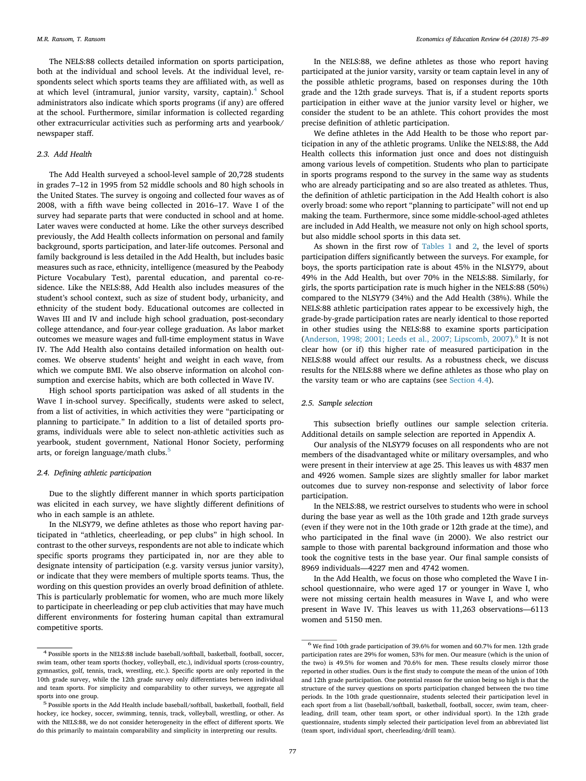The NELS:88 collects detailed information on sports participation, both at the individual and school levels. At the individual level, respondents select which sports teams they are affiliated with, as well as at which level (intramural, junior varsity, varsity, captain).<sup>4</sup> School administrators also indicate which sports programs (if any) are offered at the school. Furthermore, similar information is collected regarding other extracurricular activities such as performing arts and yearbook/ newspaper staff.

## *2.3. Add Health*

The Add Health surveyed a school-level sample of 20,728 students in grades 7–12 in 1995 from 52 middle schools and 80 high schools in the United States. The survey is ongoing and collected four waves as of 2008, with a fifth wave being collected in 2016–17. Wave I of the survey had separate parts that were conducted in school and at home. Later waves were conducted at home. Like the other surveys described previously, the Add Health collects information on personal and family background, sports participation, and later-life outcomes. Personal and family background is less detailed in the Add Health, but includes basic measures such as race, ethnicity, intelligence (measured by the Peabody Picture Vocabulary Test), parental education, and parental co-residence. Like the NELS:88, Add Health also includes measures of the student's school context, such as size of student body, urbanicity, and ethnicity of the student body. Educational outcomes are collected in Waves III and IV and include high school graduation, post-secondary college attendance, and four-year college graduation. As labor market outcomes we measure wages and full-time employment status in Wave IV. The Add Health also contains detailed information on health outcomes. We observe students' height and weight in each wave, from which we compute BMI. We also observe information on alcohol consumption and exercise habits, which are both collected in Wave IV.

High school sports participation was asked of all students in the Wave I in-school survey. Specifically, students were asked to select, from a list of activities, in which activities they were "participating or planning to participate." In addition to a list of detailed sports programs, individuals were able to select non-athletic activities such as yearbook, student government, National Honor Society, performing arts, or foreign language/math clubs.<sup>5</sup>

#### *2.4. De*fi*ning athletic participation*

Due to the slightly different manner in which sports participation was elicited in each survey, we have slightly different definitions of who in each sample is an athlete.

In the NLSY79, we define athletes as those who report having participated in "athletics, cheerleading, or pep clubs" in high school. In contrast to the other surveys, respondents are not able to indicate which specific sports programs they participated in, nor are they able to designate intensity of participation (e.g. varsity versus junior varsity), or indicate that they were members of multiple sports teams. Thus, the wording on this question provides an overly broad definition of athlete. This is particularly problematic for women, who are much more likely to participate in cheerleading or pep club activities that may have much different environments for fostering human capital than extramural competitive sports.

In the NELS:88, we define athletes as those who report having participated at the junior varsity, varsity or team captain level in any of the possible athletic programs, based on responses during the 10th grade and the 12th grade surveys. That is, if a student reports sports participation in either wave at the junior varsity level or higher, we consider the student to be an athlete. This cohort provides the most precise definition of athletic participation.

We define athletes in the Add Health to be those who report participation in any of the athletic programs. Unlike the NELS:88, the Add Health collects this information just once and does not distinguish among various levels of competition. Students who plan to participate in sports programs respond to the survey in the same way as students who are already participating and so are also treated as athletes. Thus, the definition of athletic participation in the Add Health cohort is also overly broad: some who report "planning to participate" will not end up making the team. Furthermore, since some middle-school-aged athletes are included in Add Health, we measure not only on high school sports, but also middle school sports in this data set.

As shown in the first row of Tables 1 and 2, the level of sports participation differs significantly between the surveys. For example, for boys, the sports participation rate is about 45% in the NLSY79, about 49% in the Add Health, but over 70% in the NELS:88. Similarly, for girls, the sports participation rate is much higher in the NELS:88 (50%) compared to the NLSY79 (34%) and the Add Health (38%). While the NELS:88 athletic participation rates appear to be excessively high, the grade-by-grade participation rates are nearly identical to those reported in other studies using the NELS:88 to examine sports participation (Anderson, 1998; 2001; Leeds et al., 2007; Lipscomb, 2007).<sup>6</sup> It is not clear how (or if) this higher rate of measured participation in the NELS:88 would affect our results. As a robustness check, we discuss results for the NELS:88 where we define athletes as those who play on the varsity team or who are captains (see Section 4.4).

## *2.5. Sample selection*

This subsection briefly outlines our sample selection criteria. Additional details on sample selection are reported in Appendix A.

Our analysis of the NLSY79 focuses on all respondents who are not members of the disadvantaged white or military oversamples, and who were present in their interview at age 25. This leaves us with 4837 men and 4926 women. Sample sizes are slightly smaller for labor market outcomes due to survey non-response and selectivity of labor force participation.

In the NELS:88, we restrict ourselves to students who were in school during the base year as well as the 10th grade and 12th grade surveys (even if they were not in the 10th grade or 12th grade at the time), and who participated in the final wave (in 2000). We also restrict our sample to those with parental background information and those who took the cognitive tests in the base year. Our final sample consists of 8969 individuals—4227 men and 4742 women.

In the Add Health, we focus on those who completed the Wave I inschool questionnaire, who were aged 17 or younger in Wave I, who were not missing certain health measures in Wave I, and who were present in Wave IV. This leaves us with 11,263 observations—6113 women and 5150 men.

<sup>4</sup> Possible sports in the NELS:88 include baseball/softball, basketball, football, soccer, swim team, other team sports (hockey, volleyball, etc.), individual sports (cross-country, gymnastics, golf, tennis, track, wrestling, etc.). Specific sports are only reported in the 10th grade survey, while the 12th grade survey only differentiates between individual and team sports. For simplicity and comparability to other surveys, we aggregate all sports into one group.

<sup>5</sup> Possible sports in the Add Health include baseball/softball, basketball, football, field hockey, ice hockey, soccer, swimming, tennis, track, volleyball, wrestling, or other. As with the NELS:88, we do not consider heterogeneity in the effect of different sports. We do this primarily to maintain comparability and simplicity in interpreting our results.

<sup>6</sup> We find 10th grade participation of 39.6% for women and 60.7% for men. 12th grade participation rates are 29% for women, 53% for men. Our measure (which is the union of the two) is 49.5% for women and 70.6% for men. These results closely mirror those reported in other studies. Ours is the first study to compute the mean of the union of 10th and 12th grade participation. One potential reason for the union being so high is that the structure of the survey questions on sports participation changed between the two time periods. In the 10th grade questionnaire, students selected their participation level in each sport from a list (baseball/softball, basketball, football, soccer, swim team, cheerleading, drill team, other team sport, or other individual sport). In the 12th grade questionnaire, students simply selected their participation level from an abbreviated list (team sport, individual sport, cheerleading/drill team).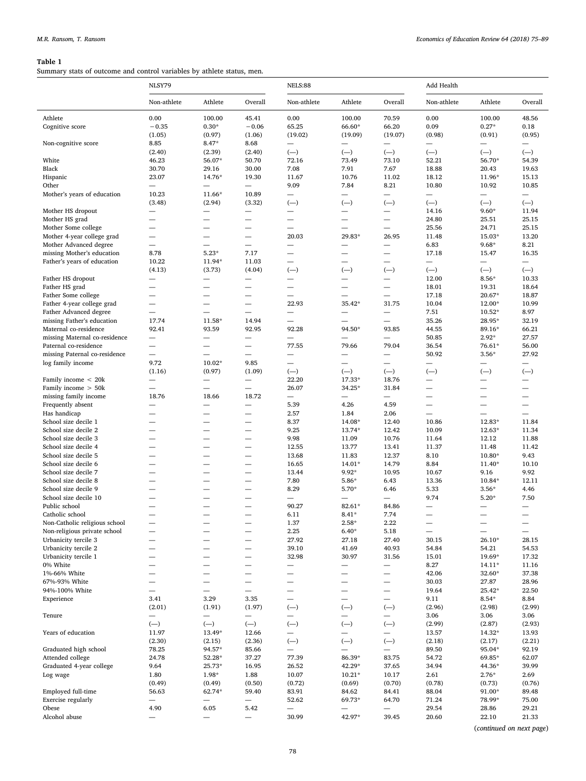## Table 1

Summary stats of outcome and control variables by athlete status, men.

| summary stats or outcome and contror variables by atmete status, men. | NLSY79                   |                          |                          | NELS:88                           |                          |                                   | Add Health               |                                               |                                                      |
|-----------------------------------------------------------------------|--------------------------|--------------------------|--------------------------|-----------------------------------|--------------------------|-----------------------------------|--------------------------|-----------------------------------------------|------------------------------------------------------|
|                                                                       | Non-athlete              | Athlete                  | Overall                  | Non-athlete                       | Athlete                  | Overall                           | Non-athlete              | Athlete                                       | Overall                                              |
| Athlete                                                               | 0.00                     | 100.00                   | 45.41                    | 0.00                              | 100.00                   | 70.59                             | 0.00                     | 100.00                                        | 48.56                                                |
| Cognitive score                                                       | $-0.35$                  | $0.30*$                  | $-0.06$                  | 65.25                             | 66.60*                   | 66.20                             | 0.09                     | $0.27*$                                       | 0.18                                                 |
|                                                                       | (1.05)                   | (0.97)                   | (1.06)                   | (19.02)                           | (19.09)                  | (19.07)                           | (0.98)                   | (0.91)                                        | (0.95)                                               |
| Non-cognitive score                                                   | 8.85                     | $8.47*$                  | 8.68                     | $\overline{\phantom{0}}$          | $\overline{\phantom{0}}$ | $\overline{\phantom{0}}$          | $\overline{\phantom{0}}$ | $\overline{\phantom{0}}$                      | $\overline{\phantom{0}}$                             |
|                                                                       | (2.40)                   | (2.39)                   | (2.40)                   | $(-)$                             | $(-)$                    | $(-)$                             | $(-)$                    | $(-)$                                         | $(-)$                                                |
| White                                                                 | 46.23                    | 56.07*                   | 50.70                    | 72.16                             | 73.49                    | 73.10                             | 52.21                    | 56.70*                                        | 54.39                                                |
| Black                                                                 | 30.70                    | 29.16                    | 30.00                    | 7.08                              | 7.91                     | 7.67                              | 18.88                    | 20.43                                         | 19.63                                                |
| Hispanic                                                              | 23.07                    | 14.76*                   | 19.30                    | 11.67                             | 10.76                    | 11.02                             | 18.12                    | 11.96*                                        | 15.13                                                |
| Other                                                                 | $\overline{\phantom{0}}$ | —                        |                          | 9.09                              | 7.84                     | 8.21                              | 10.80                    | 10.92                                         | 10.85                                                |
| Mother's years of education                                           | 10.23                    | 11.66*                   | 10.89                    | $\overline{\phantom{0}}$          | $\overline{\phantom{0}}$ | $\overline{\phantom{0}}$          | $\overline{\phantom{0}}$ | $\overline{\phantom{0}}$                      | $\overline{\phantom{0}}$                             |
|                                                                       | (3.48)                   | (2.94)                   | (3.32)                   | $(-)$                             | $(-)$                    | $(-)$                             | $(-)$                    | $(-)$                                         | $(-)$                                                |
| Mother HS dropout                                                     | $\overline{\phantom{0}}$ | $\overline{\phantom{0}}$ |                          |                                   | $\overline{\phantom{0}}$ |                                   | 14.16                    | $9.60*$                                       | 11.94                                                |
| Mother HS grad<br>Mother Some college                                 |                          | -                        |                          | $\overline{\phantom{0}}$<br>—     | $\overline{\phantom{0}}$ | —<br>$\overline{\phantom{0}}$     | 24.80<br>25.56           | 25.51<br>24.71                                | 25.15<br>25.15                                       |
| Mother 4-year college grad                                            |                          | -                        | -                        | 20.03                             | 29.83*                   | 26.95                             | 11.48                    | 15.03*                                        | 13.20                                                |
| Mother Advanced degree                                                | $\overline{\phantom{0}}$ | $\overline{\phantom{0}}$ |                          |                                   |                          |                                   | 6.83                     | $9.68*$                                       | 8.21                                                 |
| missing Mother's education                                            | 8.78                     | $5.23*$                  | 7.17                     | $\overline{\phantom{0}}$          |                          | $\overline{\phantom{0}}$          | 17.18                    | 15.47                                         | 16.35                                                |
| Father's years of education                                           | 10.22                    | 11.94*                   | 11.03                    | $\overline{\phantom{0}}$          | $\overline{\phantom{0}}$ |                                   | $\overline{\phantom{0}}$ | $\overline{\phantom{0}}$                      | $\overline{\phantom{0}}$                             |
|                                                                       | (4.13)                   | (3.73)                   | (4.04)                   | $(-)$                             | $(-)$                    | $(-)$                             | $(-)$                    | $(-)$                                         | $(-)$                                                |
| Father HS dropout                                                     |                          | -                        |                          | -                                 | $\overline{\phantom{0}}$ | $\overline{\phantom{0}}$          | 12.00                    | $8.56*$                                       | 10.33                                                |
| Father HS grad                                                        |                          |                          |                          | -                                 | $\overline{\phantom{0}}$ | $\overline{\phantom{0}}$          | 18.01                    | 19.31                                         | 18.64                                                |
| Father Some college                                                   |                          | -                        |                          |                                   |                          | $\overline{\phantom{0}}$          | 17.18                    | 20.67*                                        | 18.87                                                |
| Father 4-year college grad                                            |                          | $\overline{\phantom{0}}$ | $\overline{\phantom{0}}$ | 22.93                             | 35.42*                   | 31.75                             | 10.04                    | 12.00*                                        | 10.99                                                |
| Father Advanced degree                                                | $\equiv$                 | –                        | $\overline{\phantom{0}}$ | $\overline{\phantom{0}}$          |                          |                                   | 7.51                     | 10.52*                                        | 8.97                                                 |
| missing Father's education                                            | 17.74                    | 11.58*                   | 14.94                    |                                   |                          | $\overline{\phantom{0}}$          | 35.26                    | 28.95*                                        | 32.19                                                |
| Maternal co-residence                                                 | 92.41                    | 93.59                    | 92.95                    | 92.28                             | 94.50*                   | 93.85                             | 44.55                    | 89.16*                                        | 66.21                                                |
| missing Maternal co-residence                                         |                          |                          |                          |                                   |                          | -                                 | 50.85                    | $2.92*$                                       | 27.57                                                |
| Paternal co-residence                                                 | —                        | $\overline{\phantom{0}}$ | -                        | 77.55                             | 79.66                    | 79.04                             | 36.54                    | 76.61*                                        | 56.00                                                |
| missing Paternal co-residence                                         | $\overline{\phantom{0}}$ |                          | —                        | —                                 | -                        |                                   | 50.92                    | $3.56*$                                       | 27.92                                                |
| log family income                                                     | 9.72                     | 10.02*<br>(0.97)         | 9.85<br>(1.09)           | $\overline{\phantom{0}}$          | $\overline{\phantom{0}}$ | $\overline{\phantom{0}}$          | $\overline{\phantom{0}}$ |                                               |                                                      |
| Family income $< 20k$                                                 | (1.16)<br>—              | $\overline{\phantom{0}}$ | $\overline{\phantom{0}}$ | $(-)$<br>22.20                    | $(-)$<br>17.33*          | $(-)$<br>18.76                    | $(-)$<br>—               | $(-)$<br>$\overline{\phantom{0}}$             | $(-)$<br>-                                           |
| Family income $> 50k$                                                 |                          |                          |                          | 26.07                             | 34.25*                   | 31.84                             | -                        | -                                             |                                                      |
| missing family income                                                 | 18.76                    | 18.66                    | 18.72                    | $\overline{\phantom{0}}$          |                          | $\overline{\phantom{0}}$          | $\overline{\phantom{0}}$ | -                                             |                                                      |
| Frequently absent                                                     | $\overline{\phantom{0}}$ |                          | $\overline{\phantom{0}}$ | 5.39                              | 4.26                     | 4.59                              | $\overline{\phantom{0}}$ | $\overline{\phantom{0}}$                      | $\overline{\phantom{0}}$                             |
| Has handicap                                                          |                          | -                        | -                        | 2.57                              | 1.84                     | 2.06                              | $\overline{\phantom{0}}$ | $\overline{\phantom{0}}$                      | $\overline{\phantom{0}}$                             |
| School size decile 1                                                  |                          |                          | -                        | 8.37                              | 14.08*                   | 12.40                             | 10.86                    | 12.83*                                        | 11.84                                                |
| School size decile 2                                                  |                          |                          |                          | 9.25                              | 13.74*                   | 12.42                             | 10.09                    | $12.63*$                                      | 11.34                                                |
| School size decile 3                                                  |                          |                          |                          | 9.98                              | 11.09                    | 10.76                             | 11.64                    | 12.12                                         | 11.88                                                |
| School size decile 4                                                  |                          |                          |                          | 12.55                             | 13.77                    | 13.41                             | 11.37                    | 11.48                                         | 11.42                                                |
| School size decile 5                                                  |                          |                          | $\overline{\phantom{0}}$ | 13.68                             | 11.83                    | 12.37                             | 8.10                     | 10.80*                                        | 9.43                                                 |
| School size decile 6                                                  | $\overline{\phantom{0}}$ | -                        | $\overline{\phantom{0}}$ | 16.65                             | $14.01*$                 | 14.79                             | 8.84                     | $11.40*$                                      | 10.10                                                |
| School size decile 7                                                  |                          |                          |                          | 13.44                             | $9.92*$                  | 10.95                             | 10.67                    | 9.16                                          | 9.92                                                 |
| School size decile 8                                                  |                          |                          |                          | 7.80                              | $5.86*$                  | 6.43                              | 13.36                    | 10.84*                                        | 12.11                                                |
| School size decile 9                                                  |                          |                          |                          | 8.29                              | $5.70*$                  | 6.46                              | 5.33                     | $3.56*$                                       | 4.46                                                 |
| School size decile 10                                                 |                          |                          |                          |                                   |                          |                                   | 9.74                     | $5.20*$                                       | 7.50                                                 |
| Public school                                                         |                          |                          |                          | 90.27                             | 82.61*                   | 84.86                             | $\overline{\phantom{0}}$ | $\overline{\phantom{0}}$                      | $\overline{\phantom{0}}$                             |
| Catholic school                                                       |                          |                          |                          | 6.11                              | $8.41*$                  | 7.74                              |                          |                                               |                                                      |
| Non-Catholic religious school<br>Non-religious private school         |                          | $\overline{\phantom{0}}$ | $\overline{\phantom{0}}$ | 1.37<br>2.25                      | $2.58*$<br>$6.40*$       | 2.22<br>5.18                      | —<br>—                   | $\qquad \qquad -$<br>$\overline{\phantom{0}}$ | $\overline{\phantom{m}}$<br>$\overline{\phantom{0}}$ |
| Urbanicity tercile 3                                                  | —                        | $\overline{\phantom{0}}$ | $\overline{\phantom{0}}$ | 27.92                             | 27.18                    | 27.40                             | 30.15                    | $26.10*$                                      | 28.15                                                |
| Urbanicity tercile 2                                                  |                          |                          |                          | 39.10                             | 41.69                    | 40.93                             | 54.84                    | 54.21                                         | 54.53                                                |
| Urbanicity tercile 1                                                  |                          | $\overline{\phantom{0}}$ | —                        | 32.98                             | 30.97                    | 31.56                             | 15.01                    | 19.69*                                        | 17.32                                                |
| 0% White                                                              |                          |                          |                          | $\overline{\phantom{0}}$          | $\overline{\phantom{0}}$ | $\overline{\phantom{0}}$          | 8.27                     | $14.11*$                                      | 11.16                                                |
| 1%-66% White                                                          | —                        | $\overline{\phantom{0}}$ | $\overline{\phantom{0}}$ | $\overline{\phantom{0}}$          | $\overline{\phantom{0}}$ | $\overbrace{\phantom{123221111}}$ | 42.06                    | 32.60*                                        | 37.38                                                |
| 67%-93% White                                                         | $\overline{\phantom{0}}$ | $\overline{\phantom{0}}$ | $\overline{\phantom{0}}$ | $\overline{\phantom{0}}$          | $\overline{\phantom{0}}$ | $\qquad \qquad -$                 | 30.03                    | 27.87                                         | 28.96                                                |
| 94%-100% White                                                        | $\overline{\phantom{0}}$ | $\overline{\phantom{0}}$ | —                        | $\overline{\phantom{0}}$          | —                        | $\overbrace{\phantom{123221111}}$ | 19.64                    | 25.42*                                        | 22.50                                                |
| Experience                                                            | 3.41                     | 3.29                     | 3.35                     |                                   |                          |                                   | 9.11                     | $8.54*$                                       | 8.84                                                 |
|                                                                       | (2.01)                   | (1.91)                   | (1.97)                   | $(-)$                             | $(-)$                    | $(-)$                             | (2.96)                   | (2.98)                                        | (2.99)                                               |
| Tenure                                                                | $\overline{\phantom{0}}$ | $\overline{\phantom{0}}$ | $\overline{\phantom{0}}$ | $\overline{\phantom{0}}$          |                          | $\overline{\phantom{0}}$          | 3.06                     | 3.06                                          | 3.06                                                 |
|                                                                       | $(-)$                    | $(-)$                    | $(-)$                    | $(-)$                             | $(-)$                    | $(-)$                             | (2.99)                   | (2.87)                                        | (2.93)                                               |
| Years of education                                                    | 11.97                    | 13.49*                   | 12.66                    |                                   | —                        | $\qquad \qquad -$                 | 13.57                    | 14.32*                                        | 13.93                                                |
|                                                                       | (2.30)                   | (2.15)                   | (2.36)                   | $(-)$                             | $(-)$                    | $(-)$                             | (2.18)                   | (2.17)                                        | (2.21)                                               |
| Graduated high school                                                 | 78.25                    | 94.57*                   | 85.66                    |                                   |                          |                                   | 89.50                    | 95.04*                                        | 92.19                                                |
| Attended college                                                      | 24.78                    | 52.28*                   | 37.27                    | 77.39                             | 86.39*                   | 83.75                             | 54.72                    | 69.85*                                        | 62.07                                                |
| Graduated 4-year college                                              | 9.64                     | 25.73*                   | 16.95                    | 26.52                             | 42.29*                   | 37.65                             | 34.94                    | 44.36*                                        | 39.99                                                |
| Log wage                                                              | 1.80                     | 1.98*                    | 1.88                     | 10.07                             | $10.21*$                 | 10.17                             | 2.61                     | $2.76*$                                       | 2.69                                                 |
|                                                                       | (0.49)                   | (0.49)                   | (0.50)                   | (0.72)                            | (0.69)                   | (0.70)                            | (0.78)                   | (0.73)                                        | (0.76)                                               |
| Employed full-time                                                    | 56.63                    | 62.74*                   | 59.40                    | 83.91                             | 84.62                    | 84.41                             | 88.04                    | 91.00*                                        | 89.48                                                |
| Exercise regularly<br>Obese                                           |                          | —                        |                          | 52.62                             | 69.73*                   | 64.70                             | 71.24                    | 78.99*                                        | 75.00                                                |
| Alcohol abuse                                                         | 4.90                     | 6.05                     | 5.42                     | $\overline{\phantom{0}}$<br>30.99 | 42.97*                   | 39.45                             | 29.54<br>20.60           | 28.86<br>22.10                                | 29.21<br>21.33                                       |
|                                                                       | $\overline{\phantom{0}}$ | —                        | $\overline{\phantom{m}}$ |                                   |                          |                                   |                          |                                               |                                                      |

(*continued on next page*)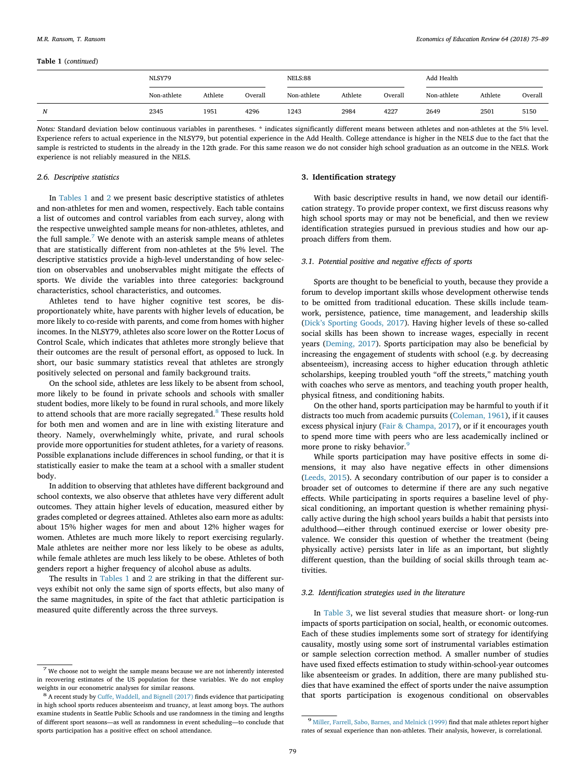#### Table 1 (*continued*)

|                  | NLSY79      |         |         | NELS:88     |         |         | Add Health  |         |         |
|------------------|-------------|---------|---------|-------------|---------|---------|-------------|---------|---------|
|                  | Non-athlete | Athlete | Overall | Non-athlete | Athlete | Overall | Non-athlete | Athlete | Overall |
| $\boldsymbol{N}$ | 2345        | 1951    | 4296    | 1243        | 2984    | 4227    | 2649        | 2501    | 5150    |

*Notes:* Standard deviation below continuous variables in parentheses. \* indicates significantly different means between athletes and non-athletes at the 5% level. Experience refers to actual experience in the NLSY79, but potential experience in the Add Health. College attendance is higher in the NELS due to the fact that the sample is restricted to students in the already in the 12th grade. For this same reason we do not consider high school graduation as an outcome in the NELS. Work experience is not reliably measured in the NELS.

## *2.6. Descriptive statistics*

In Tables 1 and 2 we present basic descriptive statistics of athletes and non-athletes for men and women, respectively. Each table contains a list of outcomes and control variables from each survey, along with the respective unweighted sample means for non-athletes, athletes, and the full sample.<sup>7</sup> We denote with an asterisk sample means of athletes that are statistically different from non-athletes at the 5% level. The descriptive statistics provide a high-level understanding of how selection on observables and unobservables might mitigate the effects of sports. We divide the variables into three categories: background characteristics, school characteristics, and outcomes.

Athletes tend to have higher cognitive test scores, be disproportionately white, have parents with higher levels of education, be more likely to co-reside with parents, and come from homes with higher incomes. In the NLSY79, athletes also score lower on the Rotter Locus of Control Scale, which indicates that athletes more strongly believe that their outcomes are the result of personal effort, as opposed to luck. In short, our basic summary statistics reveal that athletes are strongly positively selected on personal and family background traits.

On the school side, athletes are less likely to be absent from school, more likely to be found in private schools and schools with smaller student bodies, more likely to be found in rural schools, and more likely to attend schools that are more racially segregated.<sup>8</sup> These results hold for both men and women and are in line with existing literature and theory. Namely, overwhelmingly white, private, and rural schools provide more opportunities for student athletes, for a variety of reasons. Possible explanations include differences in school funding, or that it is statistically easier to make the team at a school with a smaller student body.

In addition to observing that athletes have different background and school contexts, we also observe that athletes have very different adult outcomes. They attain higher levels of education, measured either by grades completed or degrees attained. Athletes also earn more as adults: about 15% higher wages for men and about 12% higher wages for women. Athletes are much more likely to report exercising regularly. Male athletes are neither more nor less likely to be obese as adults, while female athletes are much less likely to be obese. Athletes of both genders report a higher frequency of alcohol abuse as adults.

The results in Tables 1 and 2 are striking in that the different surveys exhibit not only the same sign of sports effects, but also many of the same magnitudes, in spite of the fact that athletic participation is measured quite differently across the three surveys.

## 3. Identification strategy

With basic descriptive results in hand, we now detail our identification strategy. To provide proper context, we first discuss reasons why high school sports may or may not be beneficial, and then we review identification strategies pursued in previous studies and how our approach differs from them.

## *3.1. Potential positive and negative e*ff*ects of sports*

Sports are thought to be beneficial to youth, because they provide a forum to develop important skills whose development otherwise tends to be omitted from traditional education. These skills include teamwork, persistence, patience, time management, and leadership skills (Dick's Sporting Goods, 2017). Having higher levels of these so-called social skills has been shown to increase wages, especially in recent years (Deming, 2017). Sports participation may also be beneficial by increasing the engagement of students with school (e.g. by decreasing absenteeism), increasing access to higher education through athletic scholarships, keeping troubled youth "off the streets," matching youth with coaches who serve as mentors, and teaching youth proper health, physical fitness, and conditioning habits.

On the other hand, sports participation may be harmful to youth if it distracts too much from academic pursuits (Coleman, 1961), if it causes excess physical injury (Fair & Champa, 2017), or if it encourages youth to spend more time with peers who are less academically inclined or more prone to risky behavior.<sup>9</sup>

While sports participation may have positive effects in some dimensions, it may also have negative effects in other dimensions (Leeds, 2015). A secondary contribution of our paper is to consider a broader set of outcomes to determine if there are any such negative effects. While participating in sports requires a baseline level of physical conditioning, an important question is whether remaining physically active during the high school years builds a habit that persists into adulthood—either through continued exercise or lower obesity prevalence. We consider this question of whether the treatment (being physically active) persists later in life as an important, but slightly different question, than the building of social skills through team activities.

#### *3.2. Identi*fi*cation strategies used in the literature*

In Table 3, we list several studies that measure short- or long-run impacts of sports participation on social, health, or economic outcomes. Each of these studies implements some sort of strategy for identifying causality, mostly using some sort of instrumental variables estimation or sample selection correction method. A smaller number of studies have used fixed effects estimation to study within-school-year outcomes like absenteeism or grades. In addition, there are many published studies that have examined the effect of sports under the naive assumption that sports participation is exogenous conditional on observables

 $^7$  We choose not to weight the sample means because we are not inherently interested in recovering estimates of the US population for these variables. We do not employ weights in our econometric analyses for similar reasons.

<sup>&</sup>lt;sup>8</sup> A recent study by Cuffe, Waddell, and Bignell (2017) finds evidence that participating in high school sports reduces absenteeism and truancy, at least among boys. The authors examine students in Seattle Public Schools and use randomness in the timing and lengths of different sport seasons—as well as randomness in event scheduling—to conclude that sports participation has a positive effect on school attendance.

<sup>9</sup> Miller, Farrell, Sabo, Barnes, and Melnick (1999) find that male athletes report higher rates of sexual experience than non-athletes. Their analysis, however, is correlational.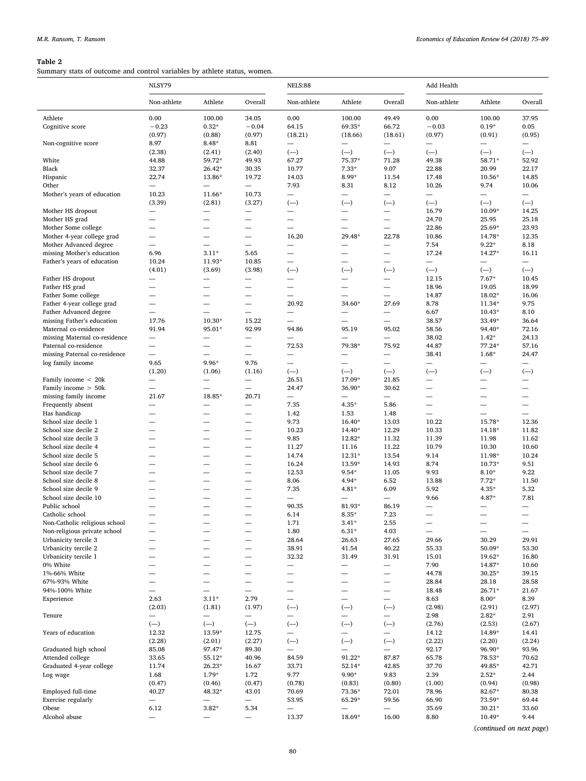## Table 2

Summary stats of outcome and control variables by athlete status, women.

|                                        | NLSY79                   |                          |                          | NELS:88                  |                          |                          | Add Health               |                               |                               |
|----------------------------------------|--------------------------|--------------------------|--------------------------|--------------------------|--------------------------|--------------------------|--------------------------|-------------------------------|-------------------------------|
|                                        | Non-athlete              | Athlete                  | Overall                  | Non-athlete              | Athlete                  | Overall                  | Non-athlete              | Athlete                       | Overall                       |
| Athlete                                | 0.00                     | 100.00                   | 34.05                    | 0.00                     | 100.00                   | 49.49                    | 0.00                     | 100.00                        | 37.95                         |
| Cognitive score                        | $-0.23$                  | $0.32*$                  | $-0.04$                  | 64.15                    | 69.35*                   | 66.72                    | $-0.03$                  | $0.19*$                       | 0.05                          |
|                                        | (0.97)                   | (0.88)                   | (0.97)                   | (18.21)                  | (18.66)                  | (18.61)                  | (0.97)                   | (0.91)                        | (0.95)                        |
| Non-cognitive score                    | 8.97                     | $8.48*$                  | 8.81                     | $\overline{\phantom{0}}$ | $\overline{\phantom{0}}$ |                          | $\qquad \qquad -$        | $\overline{\phantom{0}}$      | -                             |
|                                        | (2.38)                   | (2.41)                   | (2.40)                   | $(-)$                    | $(-)$                    | $(-)$                    | $(-)$                    | $(-)$                         | $(-)$                         |
| White                                  | 44.88                    | 59.72*                   | 49.93                    | 67.27                    | 75.37*                   | 71.28                    | 49.38                    | 58.71*                        | 52.92                         |
| Black                                  | 32.37                    | 26.42*                   | 30.35                    | 10.77                    | $7.33*$                  | 9.07                     | 22.88                    | 20.99                         | 22.17                         |
| Hispanic                               | 22.74                    | 13.86*                   | 19.72                    | 14.03                    | 8.99*                    | 11.54                    | 17.48                    | 10.56*                        | 14.85                         |
| Other                                  | $\overline{\phantom{0}}$ |                          | $\overline{\phantom{0}}$ | 7.93                     | 8.31                     | 8.12                     | 10.26                    | 9.74                          | 10.06                         |
| Mother's years of education            | 10.23                    | 11.66*                   | 10.73                    | $\overline{\phantom{0}}$ | $\overline{\phantom{0}}$ | $\qquad \qquad -$        | $\overline{\phantom{0}}$ | $\overline{\phantom{0}}$      | —                             |
|                                        | (3.39)                   | (2.81)                   | (3.27)                   | $(-)$                    | $(-)$                    | $(-)$                    | $(-)$                    | $(-)$                         | $(-)$                         |
| Mother HS dropout                      | -                        | $\overline{\phantom{0}}$ | $\overline{\phantom{0}}$ | $\overline{\phantom{0}}$ | $\overline{\phantom{0}}$ | $\qquad \qquad -$        | 16.79                    | $10.09*$                      | 14.25                         |
| Mother HS grad                         |                          |                          |                          | —                        | —                        |                          | 24.70                    | 25.95                         | 25.18                         |
| Mother Some college                    |                          |                          |                          | $\overline{\phantom{0}}$ |                          |                          | 22.86                    | 25.69*                        | 23.93                         |
| Mother 4-year college grad             |                          |                          |                          | 16.20                    | 29.48*                   | 22.78                    | 10.86                    | 14.78*                        | 12.35                         |
| Mother Advanced degree                 | $\overline{\phantom{0}}$ | -                        | $\overline{\phantom{0}}$ | -                        | $\overline{\phantom{0}}$ | $\overline{\phantom{0}}$ | 7.54                     | $9.22*$                       | 8.18                          |
| missing Mother's education             | 6.96                     | $3.11*$                  | 5.65                     | $\overline{\phantom{0}}$ |                          | $\overline{\phantom{0}}$ | 17.24                    | 14.27*                        | 16.11                         |
| Father's years of education            | 10.24                    | 11.93*                   | 10.85                    | $\overline{\phantom{0}}$ |                          | $\overline{\phantom{0}}$ | $\qquad \qquad -$        | $\qquad \qquad -$             | $\overline{\phantom{0}}$      |
|                                        | (4.01)                   | (3.69)                   | (3.98)                   | $(-)$                    | $(-)$                    | $(-)$                    | $(-)$                    | $(-)$                         | $(-)$                         |
| Father HS dropout                      |                          |                          |                          | —                        | -                        | -                        | 12.15                    | $7.67*$                       | 10.45                         |
| Father HS grad<br>Father Some college  | -                        | -                        |                          | -                        | -                        | $\overline{\phantom{0}}$ | 18.96<br>14.87           | 19.05<br>18.02*               | 18.99<br>16.06                |
| Father 4-year college grad             |                          | -                        | —                        | 20.92                    | 34.60*                   | 27.69                    | 8.78                     | 11.34*                        | 9.75                          |
| Father Advanced degree                 | -                        |                          |                          | -                        | $\overline{\phantom{0}}$ | $\overline{\phantom{0}}$ | 6.67                     | $10.43*$                      | 8.10                          |
| missing Father's education             | 17.76                    | $10.30*$                 | 15.22                    | -                        | -                        | —                        | 38.57                    | 33.49*                        | 36.64                         |
| Maternal co-residence                  | 91.94                    | 95.01*                   | 92.99                    | 94.86                    | 95.19                    | 95.02                    | 58.56                    | 94.40*                        | 72.16                         |
| missing Maternal co-residence          |                          |                          |                          |                          |                          | -                        | 38.02                    | $1.42*$                       | 24.13                         |
| Paternal co-residence                  | -                        | -                        | $\overline{\phantom{0}}$ | 72.53                    | 79.38*                   | 75.92                    | 44.87                    | $77.24*$                      | 57.16                         |
| missing Paternal co-residence          |                          |                          |                          |                          |                          | $\overline{\phantom{0}}$ | 38.41                    | $1.68*$                       | 24.47                         |
| log family income                      | 9.65                     | $9.96*$                  | 9.76                     | $\overline{\phantom{0}}$ | -                        | —                        | $\overline{\phantom{0}}$ | $\overline{\phantom{0}}$      | $\overline{\phantom{0}}$      |
|                                        | (1.20)                   | (1.06)                   | (1.16)                   | $(-)$                    | $(-)$                    | $(-)$                    | $(-)$                    | $(-)$                         | $(-)$                         |
| Family income $\leq 20k$               |                          |                          | —                        | 26.51                    | 17.09*                   | 21.85                    | —                        | —                             | $\overline{\phantom{0}}$      |
| Family income $> 50k$                  | $\overline{\phantom{0}}$ |                          | $\overline{\phantom{0}}$ | 24.47                    | 36.90*                   | 30.62                    | $\overline{\phantom{0}}$ | $\overline{\phantom{0}}$      | $\overline{\phantom{0}}$      |
| missing family income                  | 21.67                    | 18.85*                   | 20.71                    | $\overline{\phantom{0}}$ | -                        | $\qquad \qquad -$        |                          |                               | $\overline{\phantom{0}}$      |
| Frequently absent                      |                          |                          |                          | 7.35                     | $4.35*$                  | 5.86                     | $\overline{\phantom{0}}$ |                               | $\overline{\phantom{0}}$      |
| Has handicap                           |                          |                          |                          | 1.42                     | 1.53                     | 1.48                     | $\overline{\phantom{0}}$ | $\overline{\phantom{0}}$      |                               |
| School size decile 1                   |                          |                          | -                        | 9.73                     | $16.40*$                 | 13.03                    | 10.22                    | 15.78*                        | 12.36                         |
| School size decile 2                   |                          |                          |                          | 10.23                    | 14.40*                   | 12.29                    | 10.33                    | 14.18*                        | 11.82                         |
| School size decile 3                   |                          |                          |                          | 9.85                     | 12.82*                   | 11.32                    | 11.39                    | 11.98                         | 11.62                         |
| School size decile 4                   |                          |                          | $\overline{\phantom{0}}$ | 11.27                    | 11.16                    | 11.22                    | 10.79                    | 10.30                         | 10.60                         |
| School size decile 5                   |                          |                          |                          | 14.74                    | $12.31*$                 | 13.54                    | 9.14                     | 11.98*                        | 10.24                         |
| School size decile 6                   |                          |                          |                          | 16.24                    | 13.59*                   | 14.93                    | 8.74                     | 10.73*                        | 9.51                          |
| School size decile 7                   |                          |                          |                          | 12.53                    | $9.54*$                  | 11.05                    | 9.93                     | $8.10*$                       | 9.22                          |
| School size decile 8                   |                          |                          |                          | 8.06                     | 4.94*                    | 6.52                     | 13.88                    | $7.72*$                       | 11.50                         |
| School size decile 9                   |                          |                          |                          | 7.35                     | $4.81*$                  | 6.09                     | 5.92                     | $4.35*$                       | 5.32                          |
| School size decile 10<br>Public school |                          |                          |                          | —<br>90.35               | 81.93*                   | —<br>86.19               | 9.66                     | 4.87*                         | 7.81                          |
| Catholic school                        |                          |                          |                          | 6.14                     | $8.35*$                  | 7.23                     |                          |                               | —<br>$\overline{\phantom{0}}$ |
| Non-Catholic religious school          |                          |                          |                          | 1.71                     | $3.41*$                  | 2.55                     |                          |                               |                               |
| Non-religious private school           |                          |                          |                          | 1.80                     | $6.31*$                  | 4.03                     | $\qquad \qquad -$        | —<br>$\overline{\phantom{0}}$ | —<br>$\overline{\phantom{0}}$ |
| Urbanicity tercile 3                   |                          |                          | —                        | 28.64                    | 26.63                    | 27.65                    | 29.66                    | 30.29                         | 29.91                         |
| Urbanicity tercile 2                   |                          |                          |                          | 38.91                    | 41.54                    | 40.22                    | 55.33                    | 50.09*                        | 53.30                         |
| Urbanicity tercile 1                   |                          |                          | $\overline{\phantom{0}}$ | 32.32                    | 31.49                    | 31.91                    | 15.01                    | 19.62*                        | 16.80                         |
| 0% White                               | -                        | —                        | $\overline{\phantom{0}}$ |                          |                          | $\qquad \qquad -$        | 7.90                     | 14.87*                        | 10.60                         |
| 1%-66% White                           | -                        | —                        | $\overline{\phantom{0}}$ | -                        | —                        | $\qquad \qquad -$        | 44.78                    | $30.25*$                      | 39.15                         |
| 67%-93% White                          | $\overline{\phantom{0}}$ | $\overline{\phantom{0}}$ | $\overline{\phantom{0}}$ | $\overline{\phantom{0}}$ | $\overline{\phantom{0}}$ | $\overline{\phantom{0}}$ | 28.84                    | 28.18                         | 28.58                         |
| 94%-100% White                         | $\overline{\phantom{0}}$ | $\overline{\phantom{0}}$ | $\overline{\phantom{0}}$ | $\overline{\phantom{0}}$ | $\overline{\phantom{0}}$ |                          | 18.48                    | $26.71*$                      | 21.67                         |
| Experience                             | 2.63                     | $3.11*$                  | 2.79                     | $\overline{\phantom{0}}$ | $\overline{\phantom{0}}$ | $\qquad \qquad -$        | 8.63                     | $8.00*$                       | 8.39                          |
|                                        | (2.03)                   | (1.81)                   | (1.97)                   | $(-)$                    | $(-)$                    | $(-)$                    | (2.98)                   | (2.91)                        | (2.97)                        |
| Tenure                                 | $\overline{\phantom{0}}$ | $\qquad \qquad -$        | $\qquad \qquad -$        | $\qquad \qquad -$        | $\qquad \qquad -$        | $\qquad \qquad -$        | 2.98                     | $2.82*$                       | 2.91                          |
|                                        | $(-)$                    | $(-)$                    | $(-)$                    | $(-)$                    | $(-)$                    | $(-)$                    | (2.76)                   | (2.53)                        | (2.67)                        |
| Years of education                     | 12.32                    | 13.59*                   | 12.75                    | $\qquad \qquad -$        | $\qquad \qquad -$        | —                        | 14.12                    | 14.89*                        | 14.41                         |
|                                        | (2.28)                   | (2.01)                   | (2.27)                   | $(-)$                    | $(-)$                    | $(-)$                    | (2.22)                   | (2.20)                        | (2.24)                        |
| Graduated high school                  | 85.08                    | 97.47*                   | 89.30                    | $\overline{\phantom{0}}$ |                          | $\overline{\phantom{0}}$ | 92.17                    | 96.90*                        | 93.96                         |
| Attended college                       | 33.65                    | 55.12*                   | 40.96                    | 84.59                    | 91.22*                   | 87.87                    | 65.78                    | 78.53*                        | 70.62                         |
| Graduated 4-year college               | 11.74                    | 26.23*                   | 16.67                    | 33.71                    | 52.14*                   | 42.85                    | 37.70                    | 49.85*                        | 42.71                         |
| Log wage                               | 1.68                     | $1.79*$                  | 1.72                     | 9.77                     | $9.90*$                  | 9.83                     | 2.39                     | $2.52*$                       | 2.44                          |
|                                        | (0.47)                   | (0.46)                   | (0.47)                   | (0.78)                   | (0.83)                   | (0.80)                   | (1.00)                   | (0.94)                        | (0.98)                        |
| Employed full-time                     | 40.27                    | 48.32*                   | 43.01                    | 70.69                    | 73.36*                   | 72.01                    | 78.96                    | 82.67*                        | 80.38                         |
| Exercise regularly<br>Obese            | -                        | —                        | $\qquad \qquad -$        | 53.95                    | 65.29*                   | 59.56                    | 66.90                    | 73.59*                        | 69.44                         |
| Alcohol abuse                          | 6.12                     | $3.82*$                  | 5.34                     | $\overline{\phantom{0}}$ |                          | —                        | 35.69                    | $30.21*$                      | 33.60                         |
|                                        | -                        | —                        | $\qquad \qquad -$        | 13.37                    | 18.69*                   | 16.00                    | 8.80                     | 10.49*                        | 9.44                          |

(*continued on next page*)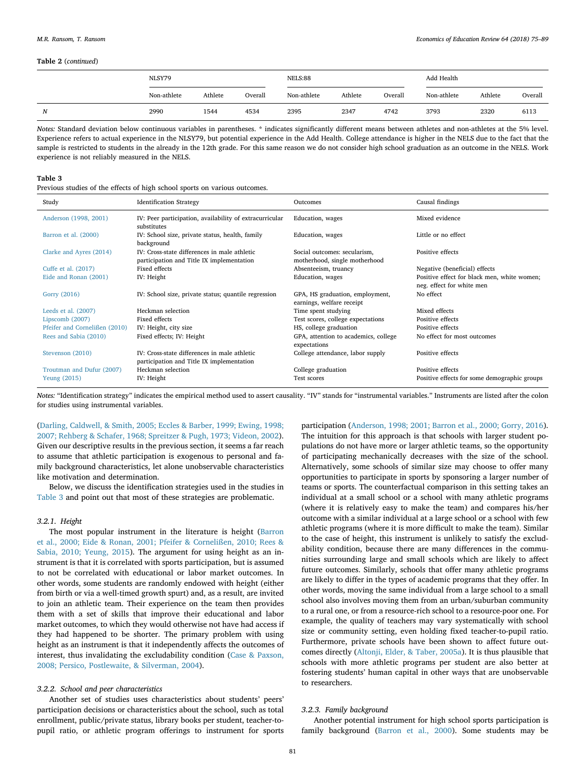## Table 2 (*continued*)

| NLSY79 |             |         | NELS:88 |             |         | Add Health |             |         |         |
|--------|-------------|---------|---------|-------------|---------|------------|-------------|---------|---------|
|        | Non-athlete | Athlete | Overall | Non-athlete | Athlete | Overall    | Non-athlete | Athlete | Overall |
| N      | 2990        | 1544    | 4534    | 2395        | 2347    | 4742       | 3793        | 2320    | 6113    |

*Notes:* Standard deviation below continuous variables in parentheses. \* indicates significantly different means between athletes and non-athletes at the 5% level. Experience refers to actual experience in the NLSY79, but potential experience in the Add Health. College attendance is higher in the NELS due to the fact that the sample is restricted to students in the already in the 12th grade. For this same reason we do not consider high school graduation as an outcome in the NELS. Work experience is not reliably measured in the NELS.

#### Table 3

Previous studies of the effects of high school sports on various outcomes.

| Study                         | <b>Identification Strategy</b>                                                            | Outcomes                                                      | Causal findings                                                          |
|-------------------------------|-------------------------------------------------------------------------------------------|---------------------------------------------------------------|--------------------------------------------------------------------------|
| Anderson (1998, 2001)         | IV: Peer participation, availability of extracurricular<br>substitutes                    | Education, wages                                              | Mixed evidence                                                           |
| Barron et al. (2000)          | IV: School size, private status, health, family<br>background                             | Education, wages                                              | Little or no effect                                                      |
| Clarke and Ayres (2014)       | IV: Cross-state differences in male athletic<br>participation and Title IX implementation | Social outcomes: secularism,<br>motherhood, single motherhood | Positive effects                                                         |
| Cuffe et al. (2017)           | Fixed effects                                                                             | Absenteeism, truancy                                          | Negative (beneficial) effects                                            |
| Eide and Ronan (2001)         | IV: Height                                                                                | Education, wages                                              | Positive effect for black men, white women;<br>neg. effect for white men |
| Gorry (2016)                  | IV: School size, private status; quantile regression                                      | GPA, HS graduation, employment,<br>earnings, welfare receipt  | No effect                                                                |
| Leeds et al. (2007)           | Heckman selection                                                                         | Time spent studying                                           | Mixed effects                                                            |
| Lipscomb (2007)               | Fixed effects                                                                             | Test scores, college expectations                             | Positive effects                                                         |
| Pfeifer and Cornelißen (2010) | IV: Height, city size                                                                     | HS, college graduation                                        | Positive effects                                                         |
| Rees and Sabia (2010)         | Fixed effects; IV: Height                                                                 | GPA, attention to academics, college<br>expectations          | No effect for most outcomes                                              |
| Stevenson (2010)              | IV: Cross-state differences in male athletic<br>participation and Title IX implementation | College attendance, labor supply                              | Positive effects                                                         |
| Troutman and Dufur (2007)     | Heckman selection                                                                         | College graduation                                            | Positive effects                                                         |
| Yeung (2015)                  | IV: Height                                                                                | Test scores                                                   | Positive effects for some demographic groups                             |

*Notes:* "Identification strategy" indicates the empirical method used to assert causality. "IV" stands for "instrumental variables." Instruments are listed after the colon for studies using instrumental variables.

(Darling, Caldwell, & Smith, 2005; Eccles & Barber, 1999; Ewing, 1998; 2007; Rehberg & Schafer, 1968; Spreitzer & Pugh, 1973; Videon, 2002). Given our descriptive results in the previous section, it seems a far reach to assume that athletic participation is exogenous to personal and family background characteristics, let alone unobservable characteristics like motivation and determination.

Below, we discuss the identification strategies used in the studies in Table 3 and point out that most of these strategies are problematic.

#### *3.2.1. Height*

The most popular instrument in the literature is height (Barron et al., 2000; Eide & Ronan, 2001; Pfeifer & Cornelißen, 2010; Rees & Sabia, 2010; Yeung, 2015). The argument for using height as an instrument is that it is correlated with sports participation, but is assumed to not be correlated with educational or labor market outcomes. In other words, some students are randomly endowed with height (either from birth or via a well-timed growth spurt) and, as a result, are invited to join an athletic team. Their experience on the team then provides them with a set of skills that improve their educational and labor market outcomes, to which they would otherwise not have had access if they had happened to be shorter. The primary problem with using height as an instrument is that it independently affects the outcomes of interest, thus invalidating the excludability condition (Case & Paxson, 2008; Persico, Postlewaite, & Silverman, 2004).

#### *3.2.2. School and peer characteristics*

Another set of studies uses characteristics about students' peers' participation decisions or characteristics about the school, such as total enrollment, public/private status, library books per student, teacher-topupil ratio, or athletic program offerings to instrument for sports

participation (Anderson, 1998; 2001; Barron et al., 2000; Gorry, 2016). The intuition for this approach is that schools with larger student populations do not have more or larger athletic teams, so the opportunity of participating mechanically decreases with the size of the school. Alternatively, some schools of similar size may choose to offer many opportunities to participate in sports by sponsoring a larger number of teams or sports. The counterfactual comparison in this setting takes an individual at a small school or a school with many athletic programs (where it is relatively easy to make the team) and compares his/her outcome with a similar individual at a large school or a school with few athletic programs (where it is more difficult to make the team). Similar to the case of height, this instrument is unlikely to satisfy the excludability condition, because there are many differences in the communities surrounding large and small schools which are likely to affect future outcomes. Similarly, schools that offer many athletic programs are likely to differ in the types of academic programs that they offer. In other words, moving the same individual from a large school to a small school also involves moving them from an urban/suburban community to a rural one, or from a resource-rich school to a resource-poor one. For example, the quality of teachers may vary systematically with school size or community setting, even holding fixed teacher-to-pupil ratio. Furthermore, private schools have been shown to affect future outcomes directly (Altonji, Elder, & Taber, 2005a). It is thus plausible that schools with more athletic programs per student are also better at fostering students' human capital in other ways that are unobservable to researchers.

#### *3.2.3. Family background*

Another potential instrument for high school sports participation is family background (Barron et al., 2000). Some students may be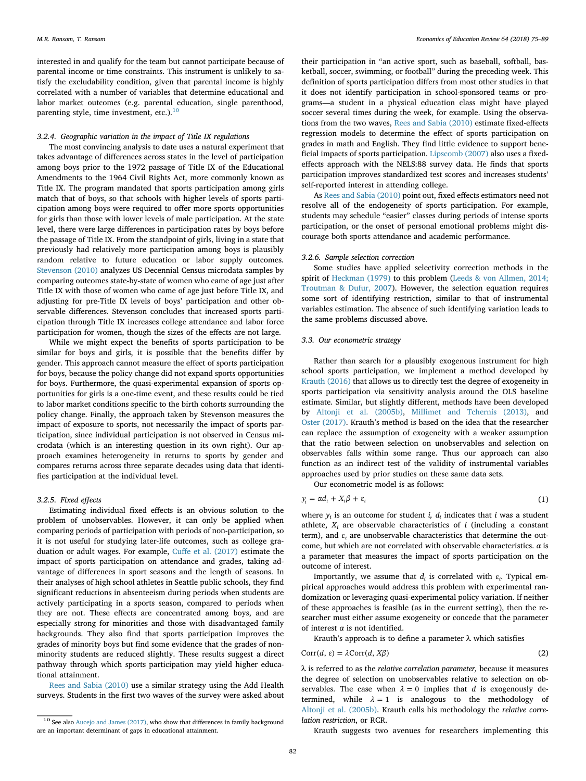interested in and qualify for the team but cannot participate because of parental income or time constraints. This instrument is unlikely to satisfy the excludability condition, given that parental income is highly correlated with a number of variables that determine educational and labor market outcomes (e.g. parental education, single parenthood, parenting style, time investment, etc.). $10$ 

### *3.2.4. Geographic variation in the impact of Title IX regulations*

The most convincing analysis to date uses a natural experiment that takes advantage of differences across states in the level of participation among boys prior to the 1972 passage of Title IX of the Educational Amendments to the 1964 Civil Rights Act, more commonly known as Title IX. The program mandated that sports participation among girls match that of boys, so that schools with higher levels of sports participation among boys were required to offer more sports opportunities for girls than those with lower levels of male participation. At the state level, there were large differences in participation rates by boys before the passage of Title IX. From the standpoint of girls, living in a state that previously had relatively more participation among boys is plausibly random relative to future education or labor supply outcomes. Stevenson (2010) analyzes US Decennial Census microdata samples by comparing outcomes state-by-state of women who came of age just after Title IX with those of women who came of age just before Title IX, and adjusting for pre-Title IX levels of boys' participation and other observable differences. Stevenson concludes that increased sports participation through Title IX increases college attendance and labor force participation for women, though the sizes of the effects are not large.

While we might expect the benefits of sports participation to be similar for boys and girls, it is possible that the benefits differ by gender. This approach cannot measure the effect of sports participation for boys, because the policy change did not expand sports opportunities for boys. Furthermore, the quasi-experimental expansion of sports opportunities for girls is a one-time event, and these results could be tied to labor market conditions specific to the birth cohorts surrounding the policy change. Finally, the approach taken by Stevenson measures the impact of exposure to sports, not necessarily the impact of sports participation, since individual participation is not observed in Census microdata (which is an interesting question in its own right). Our approach examines heterogeneity in returns to sports by gender and compares returns across three separate decades using data that identifies participation at the individual level.

## *3.2.5. Fixed e*ff*ects*

Estimating individual fixed effects is an obvious solution to the problem of unobservables. However, it can only be applied when comparing periods of participation with periods of non-participation, so it is not useful for studying later-life outcomes, such as college graduation or adult wages. For example, Cuffe et al. (2017) estimate the impact of sports participation on attendance and grades, taking advantage of differences in sport seasons and the length of seasons. In their analyses of high school athletes in Seattle public schools, they find significant reductions in absenteeism during periods when students are actively participating in a sports season, compared to periods when they are not. These effects are concentrated among boys, and are especially strong for minorities and those with disadvantaged family backgrounds. They also find that sports participation improves the grades of minority boys but find some evidence that the grades of nonminority students are reduced slightly. These results suggest a direct pathway through which sports participation may yield higher educational attainment.

Rees and Sabia (2010) use a similar strategy using the Add Health surveys. Students in the first two waves of the survey were asked about

their participation in "an active sport, such as baseball, softball, basketball, soccer, swimming, or football" during the preceding week. This definition of sports participation differs from most other studies in that it does not identify participation in school-sponsored teams or programs—a student in a physical education class might have played soccer several times during the week, for example. Using the observations from the two waves, Rees and Sabia (2010) estimate fixed-effects regression models to determine the effect of sports participation on grades in math and English. They find little evidence to support beneficial impacts of sports participation. Lipscomb (2007) also uses a fixedeffects approach with the NELS:88 survey data. He finds that sports participation improves standardized test scores and increases students' self-reported interest in attending college.

As Rees and Sabia (2010) point out, fixed effects estimators need not resolve all of the endogeneity of sports participation. For example, students may schedule "easier" classes during periods of intense sports participation, or the onset of personal emotional problems might discourage both sports attendance and academic performance.

#### *3.2.6. Sample selection correction*

Some studies have applied selectivity correction methods in the spirit of Heckman (1979) to this problem (Leeds & von Allmen, 2014; Troutman & Dufur, 2007). However, the selection equation requires some sort of identifying restriction, similar to that of instrumental variables estimation. The absence of such identifying variation leads to the same problems discussed above.

#### *3.3. Our econometric strategy*

Rather than search for a plausibly exogenous instrument for high school sports participation, we implement a method developed by Krauth (2016) that allows us to directly test the degree of exogeneity in sports participation via sensitivity analysis around the OLS baseline estimate. Similar, but slightly different, methods have been developed by Altonji et al. (2005b), Millimet and Tchernis (2013), and Oster (2017). Krauth's method is based on the idea that the researcher can replace the assumption of exogeneity with a weaker assumption that the ratio between selection on unobservables and selection on observables falls within some range. Thus our approach can also function as an indirect test of the validity of instrumental variables approaches used by prior studies on these same data sets.

Our econometric model is as follows:

$$
y_i = \alpha d_i + X_i \beta + \varepsilon_i \tag{1}
$$

where  $y_i$  is an outcome for student *i*,  $d_i$  indicates that *i* was a student athlete,  $X_i$  are observable characteristics of  $i$  (including a constant term), and ε*<sup>i</sup>* are unobservable characteristics that determine the outcome, but which are not correlated with observable characteristics.  $\alpha$  is a parameter that measures the impact of sports participation on the outcome of interest.

Importantly, we assume that  $d_i$  is correlated with  $\varepsilon_i$ . Typical empirical approaches would address this problem with experimental randomization or leveraging quasi-experimental policy variation. If neither of these approaches is feasible (as in the current setting), then the researcher must either assume exogeneity or concede that the parameter of interest  $\alpha$  is not identified.

Krauth's approach is to define a parameter  $\lambda$  which satisfies

$$
Corr(d, \varepsilon) = \lambda Corr(d, X\beta)
$$
\n(2)

λ is referred to as the *relative correlation parameter,* because it measures the degree of selection on unobservables relative to selection on observables. The case when  $\lambda = 0$  implies that *d* is exogenously determined, while  $\lambda = 1$  is analogous to the methodology of Altonji et al. (2005b). Krauth calls his methodology the *relative correlation restriction*, or RCR.

Krauth suggests two avenues for researchers implementing this

 $^{10}$  See also Aucejo and James (2017), who show that differences in family background are an important determinant of gaps in educational attainment.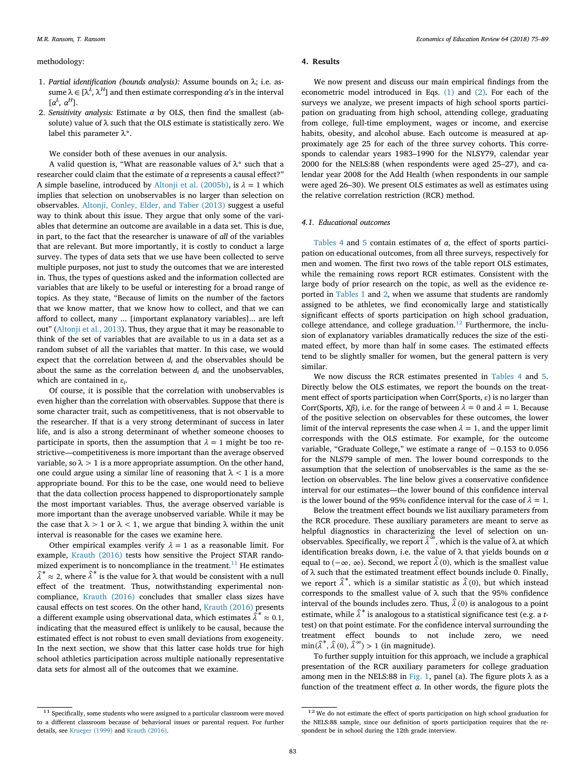#### methodology:

- 1. *Partial identi*fi*cation (bounds analysis):* Assume bounds on λ; i.e. assume  $\lambda \in [\lambda^L, \lambda^H]$  and then estimate corresponding  $\alpha$ 's in the interval  $[\alpha^L, \alpha^H]$ .
- 2. *Sensitivity analysis:* Estimate α by OLS, then find the smallest (absolute) value of  $\lambda$  such that the OLS estimate is statistically zero. We label this parameter  $\lambda^*$ .

We consider both of these avenues in our analysis.

A valid question is, "What are reasonable values of  $\lambda^*$  such that a researcher could claim that the estimate of  $\alpha$  represents a causal effect?" A simple baseline, introduced by Altonii et al. (2005b), is  $\lambda = 1$  which implies that selection on unobservables is no larger than selection on observables. Altonji, Conley, Elder, and Taber (2013) suggest a useful way to think about this issue. They argue that only some of the variables that determine an outcome are available in a data set. This is due, in part, to the fact that the researcher is unaware of *all* of the variables that are relevant. But more importantly, it is costly to conduct a large survey. The types of data sets that we use have been collected to serve multiple purposes, not just to study the outcomes that we are interested in. Thus, the types of questions asked and the information collected are variables that are likely to be useful or interesting for a broad range of topics. As they state, "Because of limits on the number of the factors that we know matter, that we know how to collect, and that we can afford to collect, many ... [important explanatory variables]... are left out" (Altonji et al., 2013). Thus, they argue that it may be reasonable to think of the set of variables that are available to us in a data set as a random subset of all the variables that matter. In this case, we would expect that the correlation between  $d_i$  and the observables should be about the same as the correlation between  $d_i$  and the unobservables, which are contained in ε<sub>*i*</sub>.

Of course, it is possible that the correlation with unobservables is even higher than the correlation with observables. Suppose that there is some character trait, such as competitiveness, that is not observable to the researcher. If that is a very strong determinant of success in later life, and is also a strong determinant of whether someone chooses to participate in sports, then the assumption that  $\lambda = 1$  might be too restrictive—competitiveness is more important than the average observed variable, so  $\lambda > 1$  is a more appropriate assumption. On the other hand, one could argue using a similar line of reasoning that  $\lambda < 1$  is a more appropriate bound. For this to be the case, one would need to believe that the data collection process happened to disproportionately sample the most important variables. Thus, the average observed variable is more important than the average unobserved variable. While it may be the case that  $\lambda > 1$  or  $\lambda < 1$ , we argue that binding  $\lambda$  within the unit interval is reasonable for the cases we examine here.

Other empirical examples verify  $\lambda = 1$  as a reasonable limit. For example, Krauth (2016) tests how sensitive the Project STAR randomized experiment is to noncompliance in the treatment.<sup>11</sup> He estimates  $\hat{\lambda}^*$  ≈ 2, where  $\hat{\lambda}^*$  is the value for  $\lambda$  that would be consistent with a null effect of the treatment. Thus, notwithstanding experimental noncompliance, Krauth (2016) concludes that smaller class sizes have causal effects on test scores. On the other hand, Krauth (2016) presents a different example using observational data, which estimates *λ* \*̂≈ 0.1, indicating that the measured effect is unlikely to be causal, because the estimated effect is not robust to even small deviations from exogeneity. In the next section, we show that this latter case holds true for high school athletics participation across multiple nationally representative data sets for almost all of the outcomes that we examine.

 $^{\rm 11}$  Specifically, some students who were assigned to a particular classroom were moved to a different classroom because of behavioral issues or parental request. For further details, see Krueger (1999) and Krauth (2016).

## 4. Results

We now present and discuss our main empirical findings from the econometric model introduced in Eqs. (1) and (2). For each of the surveys we analyze, we present impacts of high school sports participation on graduating from high school, attending college, graduating from college, full-time employment, wages or income, and exercise habits, obesity, and alcohol abuse. Each outcome is measured at approximately age 25 for each of the three survey cohorts. This corresponds to calendar years 1983–1990 for the NLSY79, calendar year 2000 for the NELS:88 (when respondents were aged 25–27), and calendar year 2008 for the Add Health (when respondents in our sample were aged 26–30). We present OLS estimates as well as estimates using the relative correlation restriction (RCR) method.

## *4.1. Educational outcomes*

Tables 4 and 5 contain estimates of  $\alpha$ , the effect of sports participation on educational outcomes, from all three surveys, respectively for men and women. The first two rows of the table report OLS estimates, while the remaining rows report RCR estimates. Consistent with the large body of prior research on the topic, as well as the evidence reported in Tables 1 and 2, when we assume that students are randomly assigned to be athletes, we find economically large and statistically significant effects of sports participation on high school graduation, college attendance, and college graduation.<sup>12</sup> Furthermore, the inclusion of explanatory variables dramatically reduces the size of the estimated effect, by more than half in some cases. The estimated effects tend to be slightly smaller for women, but the general pattern is very similar.

We now discuss the RCR estimates presented in Tables 4 and 5. Directly below the OLS estimates, we report the bounds on the treatment effect of sports participation when Corr(Sports,  $\varepsilon$ ) is no larger than Corr(Sports, *Xβ*), i.e. for the range of between  $\lambda = 0$  and  $\lambda = 1$ . Because of the positive selection on observables for these outcomes, the lower limit of the interval represents the case when  $\lambda = 1$ , and the upper limit corresponds with the OLS estimate. For example, for the outcome variable, "Graduate College," we estimate a range of −0.153 to 0.056 for the NLS79 sample of men. The lower bound corresponds to the assumption that the selection of unobservables is the same as the selection on observables. The line below gives a conservative confidence interval for our estimates—the lower bound of this confidence interval is the lower bound of the 95% confidence interval for the case of  $\lambda = 1$ .

Below the treatment effect bounds we list auxiliary parameters from the RCR procedure. These auxiliary parameters are meant to serve as helpful diagnostics in characterizing the level of selection on unobservables. Specifically, we report  $\hat{\lambda}^{\infty}$ , which is the value of λ at which identification breaks down, i.e. the value of  $\lambda$  that yields bounds on  $\alpha$ equal to ( $-\infty$ ,  $\infty$ ). Second, we report  $\hat{\lambda}$  (0), which is the smallest value of λ such that the estimated treatment effect bounds include 0. Finally, we report  $\hat{\lambda}^*$ , which is a similar statistic as  $\hat{\lambda}(0)$ , but which instead corresponds to the smallest value of  $\lambda$  such that the 95% confidence interval of the bounds includes zero. Thus,  $\hat{\lambda}(0)$  is analogous to a point estimate, while *λ* \*̂is analogous to a statistical significance test (e.g. a *<sup>t</sup>*test) on that point estimate. For the confidence interval surrounding the treatment effect bounds to not include zero, we need  $\min(\hat{\lambda}^*, \hat{\lambda}(0), \hat{\lambda}^{\infty}) > 1$  (in magnitude).

To further supply intuition for this approach, we include a graphical presentation of the RCR auxiliary parameters for college graduation among men in the NELS:88 in Fig. 1, panel (a). The figure plots  $\lambda$  as a function of the treatment effect α. In other words, the figure plots the

 $^{12}$  We do not estimate the effect of sports participation on high school graduation for the NELS:88 sample, since our definition of sports participation requires that the respondent be in school during the 12th grade interview.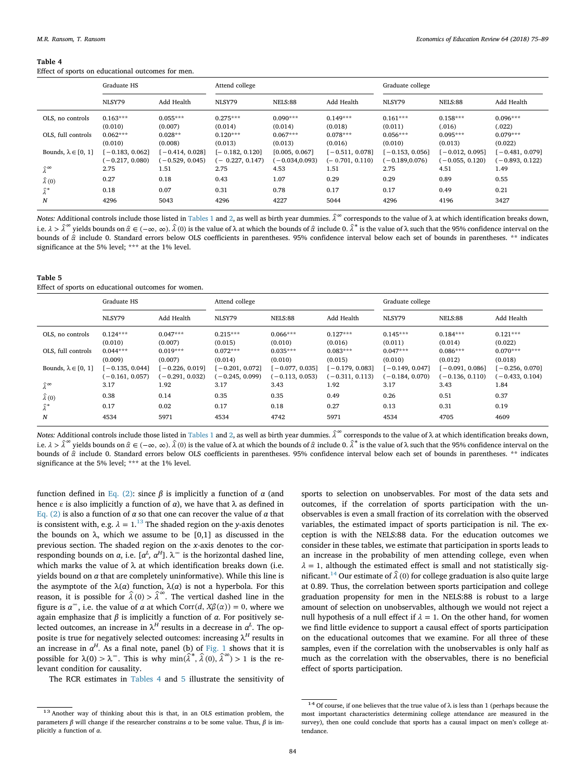#### *M.R. Ransom, T. Ransom Economics of Education Review 64 (2018) 75–89*

#### Table 4

Effect of sports on educational outcomes for men.

|                              | Graduate HS       |                   | Attend college    |                   |                   | Graduate college  |                   |                   |
|------------------------------|-------------------|-------------------|-------------------|-------------------|-------------------|-------------------|-------------------|-------------------|
|                              | NLSY79            | Add Health        | NLSY79            | NELS:88           | Add Health        | NLSY79            | NELS:88           | Add Health        |
| OLS, no controls             | $0.163***$        | $0.055***$        | $0.275***$        | $0.090***$        | $0.149***$        | $0.161***$        | $0.158***$        | $0.096***$        |
|                              | (0.010)           | (0.007)           | (0.014)           | (0.014)           | (0.018)           | (0.011)           | (.016)            | (.022)            |
| OLS, full controls           | $0.062***$        | $0.028**$         | $0.120***$        | $0.067***$        | $0.078***$        | $0.056***$        | $0.095***$        | $0.079***$        |
|                              | (0.010)           | (0.008)           | (0.013)           | (0.013)           | (0.016)           | (0.010)           | (0.013)           | (0.022)           |
| Bounds, $\lambda \in [0, 1]$ | $[-0.183, 0.062]$ | $[-0.414, 0.028]$ | $[-0.182, 0.120]$ | [0.005, 0.067]    | $[-0.511, 0.078]$ | $[-0.153, 0.056]$ | $[-0.012, 0.095]$ | $[-0.481, 0.079]$ |
|                              | $(-0.217, 0.080)$ | $(-0.529, 0.045)$ | $(-0.227, 0.147)$ | $(-0.034, 0.093)$ | $(-0.701, 0.110)$ | $(-0.189, 0.076)$ | $(-0.055, 0.120)$ | $(-0.893, 0.122)$ |
| $\hat{v}^{\infty}$           | 2.75              | 1.51              | 2.75              | 4.53              | 1.51              | 2.75              | 4.51              | 1.49              |
| $\hat{\lambda}(0)$           | 0.27              | 0.18              | 0.43              | 1.07              | 0.29              | 0.29              | 0.89              | 0.55              |
| $\hat{\lambda}^*$            | 0.18              | 0.07              | 0.31              | 0.78              | 0.17              | 0.17              | 0.49              | 0.21              |
| N                            | 4296              | 5043              | 4296              | 4227              | 5044              | 4296              | 4196              | 3427              |

*Notes:* Additional controls include those listed in Tables 1 and 2, as well as birth year dummies. ̂ ∞ *λ* corresponds to the value of λ at which identification breaks down, i.e. <sup>&</sup>gt; ̂ ∞ *<sup>λ</sup> <sup>λ</sup>* yields bounds on *<sup>α</sup>* ̂∈ −∞ ∞ ( , ). *<sup>λ</sup>* ̂(0) is the value of <sup>λ</sup> at which the bounds of *<sup>α</sup>* ̂include 0. *<sup>λ</sup>* \*̂is the value of <sup>λ</sup> such that the 95% confidence interval on the bounds of  $\hat{\alpha}$  include 0. Standard errors below OLS coefficients in parentheses. 95% confidence interval below each set of bounds in parentheses. \*\* indicates significance at the 5% level; \*\*\* at the 1% level.

## Table 5

Effect of sports on educational outcomes for women.

|                              | Graduate HS       |                   | Attend college    |                   |                   | Graduate college  |                   |                   |
|------------------------------|-------------------|-------------------|-------------------|-------------------|-------------------|-------------------|-------------------|-------------------|
|                              | NLSY79            | Add Health        | NLSY79            | NELS:88           | Add Health        | NLSY79            | NELS:88           | Add Health        |
| OLS, no controls             | $0.124***$        | $0.047***$        | $0.215***$        | $0.066***$        | $0.127***$        | $0.145***$        | $0.184***$        | $0.121***$        |
|                              | (0.010)           | (0.007)           | (0.015)           | (0.010)           | (0.016)           | (0.011)           | (0.014)           | (0.022)           |
| OLS, full controls           | $0.044***$        | $0.019***$        | $0.072***$        | $0.035***$        | $0.083***$        | $0.047***$        | $0.086***$        | $0.070***$        |
|                              | (0.009)           | (0.007)           | (0.014)           | (0.010)           | (0.015)           | (0.010)           | (0.012)           | (0.018)           |
| Bounds, $\lambda \in [0, 1]$ | $[-0.135, 0.044]$ | $[-0.226, 0.019]$ | $[-0.201, 0.072]$ | $[-0.077, 0.035]$ | $[-0.179, 0.083]$ | $[-0.149, 0.047]$ | $[-0.091, 0.086]$ | $[-0.256, 0.070]$ |
|                              | $(-0.161, 0.057)$ | $(-0.291, 0.032)$ | $(-0.245, 0.099)$ | $(-0.113, 0.053)$ | $(-0.311, 0.113)$ | $(-0.184, 0.070)$ | $(-0.136, 0.110)$ | $(-0.433, 0.104)$ |
| $\hat{\lambda}^{\infty}$     | 3.17              | 1.92              | 3.17              | 3.43              | 1.92              | 3.17              | 3.43              | 1.84              |
| $\hat{\lambda}(0)$           | 0.38              | 0.14              | 0.35              | 0.35              | 0.49              | 0.26              | 0.51              | 0.37              |
| $\widehat{\lambda}^*$        | 0.17              | 0.02              | 0.17              | 0.18              | 0.27              | 0.13              | 0.31              | 0.19              |
| $\boldsymbol{N}$             | 4534              | 5971              | 4534              | 4742              | 5971              | 4534              | 4705              | 4609              |

*Notes:* Additional controls include those listed in Tables 1 and 2, as well as birth year dummies. ̂ ∞ *λ* corresponds to the value of λ at which identification breaks down, i.e. <sup>&</sup>gt; ̂ ∞ *<sup>λ</sup> <sup>λ</sup>* yields bounds on *<sup>α</sup>* ̂∈ −∞ ∞ ( , ). *<sup>λ</sup>* ̂(0) is the value of <sup>λ</sup> at which the bounds of *<sup>α</sup>* ̂include 0. *<sup>λ</sup>* \*̂is the value of <sup>λ</sup> such that the 95% confidence interval on the bounds of *α* ̂include 0. Standard errors below OLS coefficients in parentheses. 95% confidence interval below each set of bounds in parentheses. \*\* indicates significance at the 5% level; \*\*\* at the 1% level.

function defined in Eq. (2): since  $\beta$  is implicitly a function of  $\alpha$  (and hence ε is also implicitly a function of  $α$ ), we have that  $λ$  as defined in Eq. (2) is also a function of  $\alpha$  so that one can recover the value of  $\alpha$  that is consistent with, e.g.  $\lambda = 1$ .<sup>13</sup> The shaded region on the *y*-axis denotes the bounds on  $\lambda$ , which we assume to be  $[0,1]$  as discussed in the previous section. The shaded region on the *x*-axis denotes to the cor**responding bounds on** *α*, i.e.  $[\alpha^L, \alpha^H]$ . λ<sup>∞</sup> is the horizontal dashed line, which marks the value of  $\lambda$  at which identification breaks down (i.e. yields bound on  $\alpha$  that are completely uninformative). While this line is the asymptote of the  $λ(α)$  function,  $λ(α)$  is not a hyperbola. For this reason, it is possible for  $\hat{\lambda}(0) > \hat{\lambda}^{\infty}$ . The vertical dashed line in the figure is  $\alpha^{\infty}$ , i.e. the value of  $\alpha$  at which Corr(*d*,  $X\beta(\alpha)$ ) = 0, where we again emphasize that  $\beta$  is implicitly a function of  $\alpha$ . For positively selected outcomes, an increase in  $\lambda^H$  results in a decrease in  $\alpha^L$ . The opposite is true for negatively selected outcomes: increasing λ *H* results in an increase in  $\alpha^H$ . As a final note, panel (b) of Fig. 1 shows that it is possible for  $\lambda(0) > \lambda^{\infty}$ . This is why min( $\hat{\lambda}^*, \hat{\lambda}(0), \hat{\lambda}^{\infty} > 1$  is the relevant condition for causality.

The RCR estimates in Tables 4 and 5 illustrate the sensitivity of

sports to selection on unobservables. For most of the data sets and outcomes, if the correlation of sports participation with the unobservables is even a small fraction of its correlation with the observed variables, the estimated impact of sports participation is nil. The exception is with the NELS:88 data. For the education outcomes we consider in these tables, we estimate that participation in sports leads to an increase in the probability of men attending college, even when  $\lambda = 1$ , although the estimated effect is small and not statistically significant.<sup>14</sup> Our estimate of  $\hat{\lambda}(0)$  for college graduation is also quite large at 0.89. Thus, the correlation between sports participation and college graduation propensity for men in the NELS:88 is robust to a large amount of selection on unobservables, although we would not reject a null hypothesis of a null effect if  $\lambda = 1$ . On the other hand, for women we find little evidence to support a causal effect of sports participation on the educational outcomes that we examine. For all three of these samples, even if the correlation with the unobservables is only half as much as the correlation with the observables, there is no beneficial effect of sports participation.

<sup>13</sup> Another way of thinking about this is that, in an OLS estimation problem, the parameters  $β$  will change if the researcher constrains  $α$  to be some value. Thus,  $β$  is implicitly a function of  $\alpha$ .

<sup>&</sup>lt;sup>14</sup> Of course, if one believes that the true value of  $\lambda$  is less than 1 (perhaps because the most important characteristics determining college attendance are measured in the survey), then one could conclude that sports has a causal impact on men's college attendance.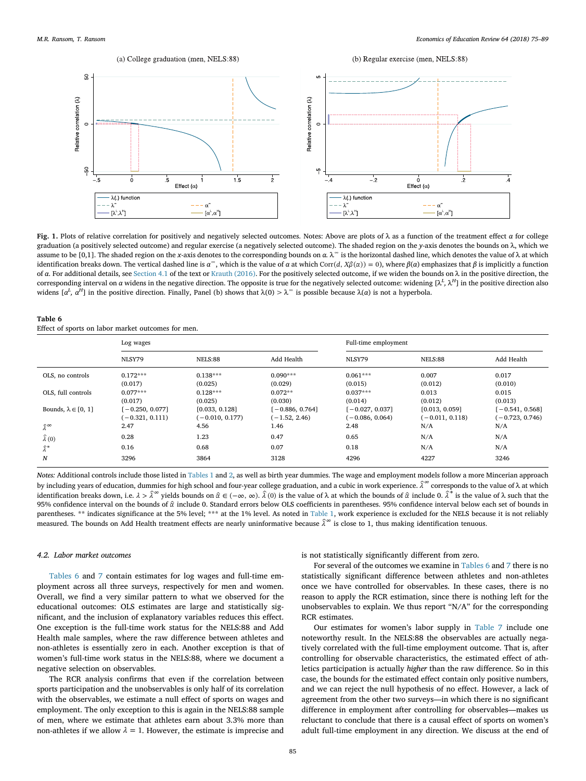#### (b) Regular exercise (men, NELS:88)



Fig. 1. Plots of relative correlation for positively and negatively selected outcomes. Notes: Above are plots of  $\lambda$  as a function of the treatment effect  $\alpha$  for college graduation (a positively selected outcome) and regular exercise (a negatively selected outcome). The shaded region on the *y*-axis denotes the bounds on λ, which we assume to be [0,1]. The shaded region on the *x*-axis denotes to the corresponding bounds on α*.* λ <sup>∞</sup> is the horizontal dashed line, which denotes the value of <sup>λ</sup> at which identification breaks down. The vertical dashed line is  $\alpha^{\infty}$ , which is the value of  $\alpha$  at which Corr( $d$ ,  $X\beta(\alpha) = 0$ ), where  $\beta(\alpha)$  emphasizes that  $\beta$  is implicitly a function of *a*. For additional details, see Section 4.1 of the text or Krauth (2016). For the positively selected outcome, if we widen the bounds on  $\lambda$  in the positive direction, the corresponding interval on  $\alpha$  widens in the negative direction. The opposite is true for the negatively selected outcome: widening [ $\lambda^L$ ,  $\lambda^H$ ] in the positive direction also widens  $\left[\alpha^L, \alpha^H\right]$  in the positive direction. Finally, Panel (b) shows that  $\lambda(0) > \lambda^\infty$  is possible because  $\lambda(\alpha)$  is not a hyperbola.

#### Table 6

Effect of sports on labor market outcomes for men.

|                              | Log wages         |                   |                   |                   | Full-time employment |                   |  |  |
|------------------------------|-------------------|-------------------|-------------------|-------------------|----------------------|-------------------|--|--|
|                              | NLSY79            | NELS:88           | Add Health        | NLSY79            | NELS:88              | Add Health        |  |  |
| OLS, no controls             | $0.172***$        | $0.138***$        | $0.090***$        | $0.061***$        | 0.007                | 0.017             |  |  |
|                              | (0.017)           | (0.025)           | (0.029)           | (0.015)           | (0.012)              | (0.010)           |  |  |
| OLS, full controls           | $0.077***$        | $0.128***$        | $0.072**$         | $0.037***$        | 0.013                | 0.015             |  |  |
|                              | (0.017)           | (0.025)           | (0.030)           | (0.014)           | (0.012)              | (0.013)           |  |  |
| Bounds, $\lambda \in [0, 1]$ | $[-0.250, 0.077]$ | [0.033, 0.128]    | $[-0.886, 0.764]$ | $[-0.027, 0.037]$ | [0.013, 0.059]       | $[-0.541, 0.568]$ |  |  |
|                              | $(-0.321, 0.111)$ | $(-0.010, 0.177)$ | $(-1.52, 2.46)$   | $(-0.086, 0.064)$ | $(-0.011, 0.118)$    | $(-0.723, 0.746)$ |  |  |
| $\hat{\lambda}^{\infty}$     | 2.47              | 4.56              | 1.46              | 2.48              | N/A                  | N/A               |  |  |
| $\hat{\lambda}(0)$           | 0.28              | 1.23              | 0.47              | 0.65              | N/A                  | N/A               |  |  |
| $\hat{\lambda}^*$            | 0.16              | 0.68              | 0.07              | 0.18              | N/A                  | N/A               |  |  |
| N                            | 3296              | 3864              | 3128              | 4296              | 4227                 | 3246              |  |  |

*Notes:* Additional controls include those listed in Tables 1 and 2, as well as birth year dummies. The wage and employment models follow a more Mincerian approach by including years of education, dummies for high school and four-year college graduation, and a cubic in work experience. ̂ ∞ *λ* corresponds to the value of λ at which *identification breaks down, i.e.*  $\lambda > \hat{\lambda}^{\infty}$  yields bounds on  $\hat{\alpha} \in (-\infty, \infty)$ .  $\hat{\lambda}(0)$  is the value of  $\lambda$  at which the bounds of  $\hat{\alpha}$  include 0.  $\hat{\lambda}^*$  is the value of  $\lambda$  such that the 95% confidence interval on the bounds of *α* ̂include 0. Standard errors below OLS coefficients in parentheses. 95% confidence interval below each set of bounds in parentheses. \*\* indicates significance at the 5% level; \*\*\* at the 1% level. As noted in Table 1, work experience is excluded for the NELS because it is not reliably measured. The bounds on Add Health treatment effects are nearly uninformative because ̂ ∞ *λ* is close to 1, thus making identification tenuous.

## *4.2. Labor market outcomes*

Tables 6 and 7 contain estimates for log wages and full-time employment across all three surveys, respectively for men and women. Overall, we find a very similar pattern to what we observed for the educational outcomes: OLS estimates are large and statistically significant, and the inclusion of explanatory variables reduces this effect. One exception is the full-time work status for the NELS:88 and Add Health male samples, where the raw difference between athletes and non-athletes is essentially zero in each. Another exception is that of women's full-time work status in the NELS:88, where we document a negative selection on observables.

The RCR analysis confirms that even if the correlation between sports participation and the unobservables is only half of its correlation with the observables, we estimate a null effect of sports on wages and employment. The only exception to this is again in the NELS:88 sample of men, where we estimate that athletes earn about 3.3% more than non-athletes if we allow  $\lambda = 1$ . However, the estimate is imprecise and

is not statistically significantly different from zero.

For several of the outcomes we examine in Tables 6 and 7 there is no statistically significant difference between athletes and non-athletes once we have controlled for observables. In these cases, there is no reason to apply the RCR estimation, since there is nothing left for the unobservables to explain. We thus report "N/A" for the corresponding RCR estimates.

Our estimates for women's labor supply in Table 7 include one noteworthy result. In the NELS:88 the observables are actually negatively correlated with the full-time employment outcome. That is, after controlling for observable characteristics, the estimated effect of athletics participation is actually *higher* than the raw difference. So in this case, the bounds for the estimated effect contain only positive numbers, and we can reject the null hypothesis of no effect. However, a lack of agreement from the other two surveys—in which there is no significant difference in employment after controlling for observables—makes us reluctant to conclude that there is a causal effect of sports on women's adult full-time employment in any direction. We discuss at the end of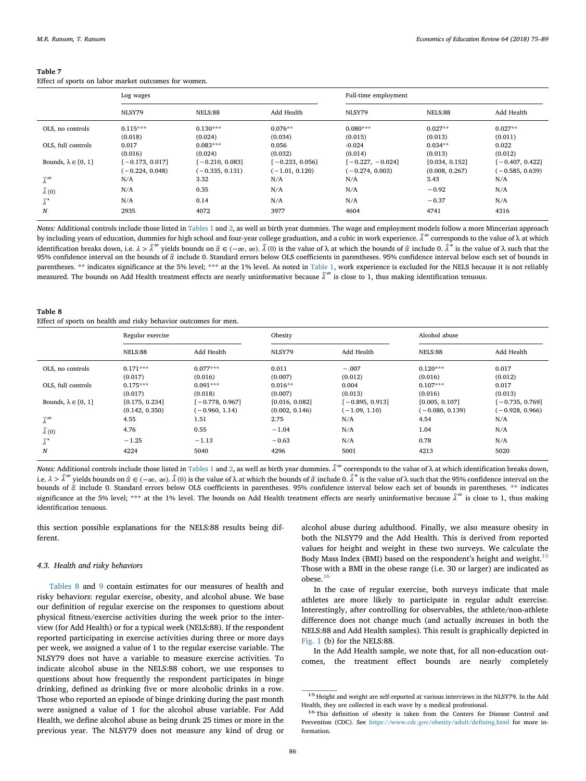|                              | Log wages         |                   |                   | Full-time employment |                |                   |  |  |
|------------------------------|-------------------|-------------------|-------------------|----------------------|----------------|-------------------|--|--|
|                              | NLSY79            | NELS:88           | Add Health        | NLSY79               | <b>NELS:88</b> | Add Health        |  |  |
| OLS, no controls             | $0.115***$        | $0.130***$        | $0.076**$         | $0.080***$           | $0.027**$      | $0.027**$         |  |  |
|                              | (0.018)           | (0.024)           | (0.034)           | (0.015)              | (0.013)        | (0.011)           |  |  |
| OLS, full controls           | 0.017             | $0.083***$        | 0.056             | $-0.024$             | $0.034**$      | 0.022             |  |  |
|                              | (0.016)           | (0.024)           | (0.032)           | (0.014)              | (0.013)        | (0.012)           |  |  |
| Bounds, $\lambda \in [0, 1]$ | $[-0.173, 0.017]$ | $[-0.210, 0.083]$ | $[-0.233, 0.056]$ | $[-0.227, -0.024]$   | [0.034, 0.152] | $[-0.407, 0.422]$ |  |  |
|                              | $(-0.224, 0.048)$ | $(-0.335, 0.131)$ | $(-1.01, 0.120)$  | $(-0.274, 0.003)$    | (0.008, 0.267) | $(-0.585, 0.639)$ |  |  |
| $\hat{\lambda}^{\infty}$     | N/A               | 3.32              | N/A               | N/A                  | 3.43           | N/A               |  |  |
| $\hat{\lambda}(0)$           | N/A               | 0.35              | N/A               | N/A                  | $-0.92$        | N/A               |  |  |
| $\widehat{\lambda}^*$        | N/A               | 0.14              | N/A               | N/A                  | $-0.37$        | N/A               |  |  |
| $\boldsymbol{N}$             | 2935              | 4072              | 3977              | 4604                 | 4741           | 4316              |  |  |

*Notes:* Additional controls include those listed in Tables 1 and 2, as well as birth year dummies. The wage and employment models follow a more Mincerian approach by including years of education, dummies for high school and four-year college graduation, and a cubic in work experience. ̂ ∞ *λ* corresponds to the value of λ at which identification breaks down, i.e.  $\lambda > \hat{\lambda}^{\infty}$  yields bounds on  $\hat{\alpha} \in (-\infty, \infty)$ .  $\hat{\lambda}(0)$  is the value of  $\lambda$  at which the bounds of  $\hat{\alpha}$  include 0.  $\hat{\lambda}^*$  is the value of  $\lambda$  such that the 95% confidence interval on the bounds of *α* ̂include 0. Standard errors below OLS coefficients in parentheses. 95% confidence interval below each set of bounds in parentheses. \*\* indicates significance at the 5% level; \*\*\* at the 1% level. As noted in Table 1, work experience is excluded for the NELS because it is not reliably measured. The bounds on Add Health treatment effects are nearly uninformative because ̂ ∞ *λ* is close to 1, thus making identification tenuous.

#### Table 8

Effect of sports on health and risky behavior outcomes for men.

|                              | Regular exercise |                   | Obesity        |                   | Alcohol abuse     |                   |  |  |
|------------------------------|------------------|-------------------|----------------|-------------------|-------------------|-------------------|--|--|
|                              | <b>NELS:88</b>   | Add Health        | NLSY79         | Add Health        | NELS:88           | Add Health        |  |  |
| OLS, no controls             | $0.171***$       | $0.077***$        | 0.011          | $-.007$           | $0.120***$        | 0.017             |  |  |
|                              | (0.017)          | (0.016)           | (0.007)        | (0.012)           | (0.016)           | (0.012)           |  |  |
| OLS, full controls           | $0.175***$       | $0.091***$        | $0.016**$      | 0.004             | $0.107***$        | 0.017             |  |  |
|                              | (0.017)          | (0.018)           | (0.007)        | (0.013)           | (0.016)           | (0.013)           |  |  |
| Bounds, $\lambda \in [0, 1]$ | [0.175, 0.234]   | $[-0.778, 0.967]$ | [0.016, 0.082] | $[-0.895, 0.913]$ | [0.005, 0.107]    | $[-0.735, 0.769]$ |  |  |
|                              | (0.142, 0.350)   | $(-0.960, 1.14)$  | (0.002, 0.146) | $(-1.09, 1.10)$   | $(-0.080, 0.139)$ | $(-0.928, 0.966)$ |  |  |
| $\hat{\lambda}^{\infty}$     | 4.55             | 1.51              | 2.75           | N/A               | 4.54              | N/A               |  |  |
| $\hat{\lambda}(0)$           | 4.76             | 0.55              | $-1.04$        | N/A               | 1.04              | N/A               |  |  |
| $\hat{\lambda}^*$            | $-1.25$          | $-1.13$           | $-0.63$        | N/A               | 0.78              | N/A               |  |  |
| $\boldsymbol{N}$             | 4224             | 5040              | 4296           | 5001              | 4213              | 5020              |  |  |

*Notes*: Additional controls include those listed in Tables 1 and 2, as well as birth year dummies.  $\widehat{\lambda}^\infty$  corresponds to the value of λ at which identification breaks down, i.e. <sup>&</sup>gt; ̂ ∞ *<sup>λ</sup> <sup>λ</sup>* yields bounds on *<sup>α</sup>* ̂∈ −∞ ∞ ( , ). *<sup>λ</sup>* ̂(0) is the value of <sup>λ</sup> at which the bounds of *<sup>α</sup>* ̂include 0. *<sup>λ</sup>* \*̂is the value of <sup>λ</sup> such that the 95% confidence interval on the bounds of  $\hat{\alpha}$  include 0. Standard errors below OLS coefficients in parentheses. 95% confidence interval below each set of bounds in parentheses. \*\* indicates significance at the 5% level; \*\*\* at the 1% level. The bounds on Add Health treatment effects are nearly uninformative because  $\hat{\lambda}^{\infty}$  is close to 1, thus making identification tenuous.

this section possible explanations for the NELS:88 results being different.

### *4.3. Health and risky behaviors*

Tables 8 and 9 contain estimates for our measures of health and risky behaviors: regular exercise, obesity, and alcohol abuse. We base our definition of regular exercise on the responses to questions about physical fitness/exercise activities during the week prior to the interview (for Add Health) or for a typical week (NELS:88). If the respondent reported participating in exercise activities during three or more days per week, we assigned a value of 1 to the regular exercise variable. The NLSY79 does not have a variable to measure exercise activities. To indicate alcohol abuse in the NELS:88 cohort, we use responses to questions about how frequently the respondent participates in binge drinking, defined as drinking five or more alcoholic drinks in a row. Those who reported an episode of binge drinking during the past month were assigned a value of 1 for the alcohol abuse variable. For Add Health, we define alcohol abuse as being drunk 25 times or more in the previous year. The NLSY79 does not measure any kind of drug or

alcohol abuse during adulthood. Finally, we also measure obesity in both the NLSY79 and the Add Health. This is derived from reported values for height and weight in these two surveys. We calculate the Body Mass Index (BMI) based on the respondent's height and weight.<sup>15</sup> Those with a BMI in the obese range (i.e. 30 or larger) are indicated as obese. $16$ 

In the case of regular exercise, both surveys indicate that male athletes are more likely to participate in regular adult exercise. Interestingly, after controlling for observables, the athlete/non-athlete difference does not change much (and actually *increases* in both the NELS:88 and Add Health samples). This result is graphically depicted in Fig. 1 (b) for the NELS:88.

In the Add Health sample, we note that, for all non-education outcomes, the treatment effect bounds are nearly completely

<sup>&</sup>lt;sup>15</sup> Height and weight are self-reported at various interviews in the NLSY79. In the Add Health, they are collected in each wave by a medical professional.

<sup>&</sup>lt;sup>16</sup> This definition of obesity is taken from the Centers for Disease Control and Prevention (CDC). See https://www.cdc.gov/obesity/adult/defining.html for more information.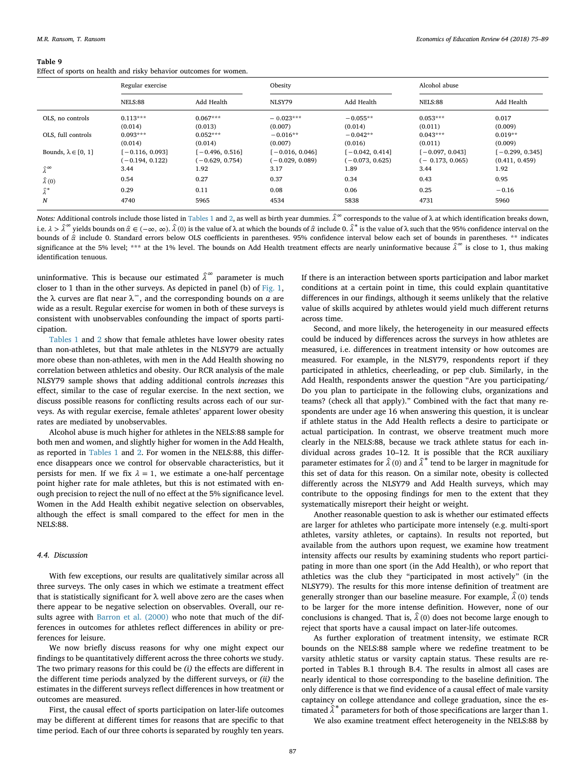#### Table 9

Effect of sports on health and risky behavior outcomes for women.

|                              | Regular exercise  |                   | Obesity           |                   | Alcohol abuse     |                   |  |  |
|------------------------------|-------------------|-------------------|-------------------|-------------------|-------------------|-------------------|--|--|
|                              | NELS:88           | Add Health        | NLSY79            | Add Health        | NELS:88           | Add Health        |  |  |
| OLS, no controls             | $0.113***$        | $0.067***$        | $-0.023***$       | $-0.055**$        | $0.053***$        | 0.017             |  |  |
|                              | (0.014)           | (0.013)           | (0.007)           | (0.014)           | (0.011)           | (0.009)           |  |  |
| OLS, full controls           | $0.093***$        | $0.052***$        | $-0.016**$        | $-0.042**$        | $0.043***$        | $0.019**$         |  |  |
|                              | (0.014)           | (0.014)           | (0.007)           | (0.016)           | (0.011)           | (0.009)           |  |  |
| Bounds, $\lambda \in [0, 1]$ | $[-0.116, 0.093]$ | $[-0.496, 0.516]$ | $[-0.016, 0.046]$ | $[-0.042, 0.414]$ | $[-0.097, 0.043]$ | $[-0.299, 0.345]$ |  |  |
|                              | $(-0.194, 0.122)$ | $(-0.629, 0.754)$ | $(-0.029, 0.089)$ | $(-0.073, 0.625)$ | $(-0.173, 0.065)$ | (0.411, 0.459)    |  |  |
| $\hat{\lambda}^{\infty}$     | 3.44              | 1.92              | 3.17              | 1.89              | 3.44              | 1.92              |  |  |
| $\hat{\lambda}(0)$           | 0.54              | 0.27              | 0.37              | 0.34              | 0.43              | 0.95              |  |  |
| $\hat{\lambda}^*$            | 0.29              | 0.11              | 0.08              | 0.06              | 0.25              | $-0.16$           |  |  |
| $\boldsymbol{N}$             | 4740              | 5965              | 4534              | 5838              | 4731              | 5960              |  |  |

*Notes:* Additional controls include those listed in Tables 1 and 2, as well as birth year dummies. ̂ ∞ *λ* corresponds to the value of λ at which identification breaks down, i.e. <sup>&</sup>gt; ̂ ∞ *<sup>λ</sup> <sup>λ</sup>* yields bounds on *<sup>α</sup>* ̂∈ −∞ ∞ ( , ). *<sup>λ</sup>* ̂(0) is the value of <sup>λ</sup> at which the bounds of *<sup>α</sup>* ̂include 0. *<sup>λ</sup>* \*̂is the value of <sup>λ</sup> such that the 95% confidence interval on the bounds of  $\hat{\alpha}$  include 0. Standard errors below OLS coefficients in parentheses. 95% confidence interval below each set of bounds in parentheses. \*\* indicates significance at the 5% level; \*\*\* at the 1% level. The bounds on Add Health treatment effects are nearly uninformative because  $\hat{\lambda}^{\infty}$  is close to 1, thus making identification tenuous.

uninformative. This is because our estimated  $\hat{\lambda}^{\infty}$  parameter is much closer to 1 than in the other surveys. As depicted in panel (b) of Fig. 1, the λ curves are flat near  $\lambda^{\infty}$ , and the corresponding bounds on α are wide as a result. Regular exercise for women in both of these surveys is consistent with unobservables confounding the impact of sports participation.

Tables 1 and 2 show that female athletes have lower obesity rates than non-athletes, but that male athletes in the NLSY79 are actually more obese than non-athletes, with men in the Add Health showing no correlation between athletics and obesity. Our RCR analysis of the male NLSY79 sample shows that adding additional controls *increases* this effect, similar to the case of regular exercise. In the next section, we discuss possible reasons for conflicting results across each of our surveys. As with regular exercise, female athletes' apparent lower obesity rates are mediated by unobservables.

Alcohol abuse is much higher for athletes in the NELS:88 sample for both men and women, and slightly higher for women in the Add Health, as reported in Tables 1 and 2. For women in the NELS:88, this difference disappears once we control for observable characteristics, but it persists for men. If we fix  $\lambda = 1$ , we estimate a one-half percentage point higher rate for male athletes, but this is not estimated with enough precision to reject the null of no effect at the 5% significance level. Women in the Add Health exhibit negative selection on observables, although the effect is small compared to the effect for men in the NELS:88.

## *4.4. Discussion*

With few exceptions, our results are qualitatively similar across all three surveys. The only cases in which we estimate a treatment effect that is statistically significant for  $λ$  well above zero are the cases when there appear to be negative selection on observables. Overall, our results agree with Barron et al. (2000) who note that much of the differences in outcomes for athletes reflect differences in ability or preferences for leisure.

We now briefly discuss reasons for why one might expect our findings to be quantitatively different across the three cohorts we study. The two primary reasons for this could be *(i)* the effects are different in the different time periods analyzed by the different surveys, or *(ii)* the estimates in the different surveys reflect differences in how treatment or outcomes are measured.

First, the causal effect of sports participation on later-life outcomes may be different at different times for reasons that are specific to that time period. Each of our three cohorts is separated by roughly ten years.

If there is an interaction between sports participation and labor market conditions at a certain point in time, this could explain quantitative differences in our findings, although it seems unlikely that the relative value of skills acquired by athletes would yield much different returns across time.

Second, and more likely, the heterogeneity in our measured effects could be induced by differences across the surveys in how athletes are measured, i.e. differences in treatment intensity or how outcomes are measured. For example, in the NLSY79, respondents report if they participated in athletics, cheerleading, or pep club. Similarly, in the Add Health, respondents answer the question "Are you participating/ Do you plan to participate in the following clubs, organizations and teams? (check all that apply)." Combined with the fact that many respondents are under age 16 when answering this question, it is unclear if athlete status in the Add Health reflects a desire to participate or actual participation. In contrast, we observe treatment much more clearly in the NELS:88, because we track athlete status for each individual across grades 10–12. It is possible that the RCR auxiliary parameter estimates for  $\hat{\lambda}$  (0) and  $\hat{\lambda}^*$  tend to be larger in magnitude for this set of data for this reason. On a similar note, obesity is collected differently across the NLSY79 and Add Health surveys, which may contribute to the opposing findings for men to the extent that they systematically misreport their height or weight.

Another reasonable question to ask is whether our estimated effects are larger for athletes who participate more intensely (e.g. multi-sport athletes, varsity athletes, or captains). In results not reported, but available from the authors upon request, we examine how treatment intensity affects our results by examining students who report participating in more than one sport (in the Add Health), or who report that athletics was the club they "participated in most actively" (in the NLSY79). The results for this more intense definition of treatment are generally stronger than our baseline measure. For example,  $\hat{\lambda}(0)$  tends to be larger for the more intense definition. However, none of our conclusions is changed. That is,  $\hat{\lambda}(0)$  does not become large enough to reject that sports have a causal impact on later-life outcomes.

As further exploration of treatment intensity, we estimate RCR bounds on the NELS:88 sample where we redefine treatment to be varsity athletic status or varsity captain status. These results are reported in Tables B.1 through B.4. The results in almost all cases are nearly identical to those corresponding to the baseline definition. The only difference is that we find evidence of a causal effect of male varsity captaincy on college attendance and college graduation, since the estimated  $\hat{\lambda}^*$  parameters for both of those specifications are larger than 1.

We also examine treatment effect heterogeneity in the NELS:88 by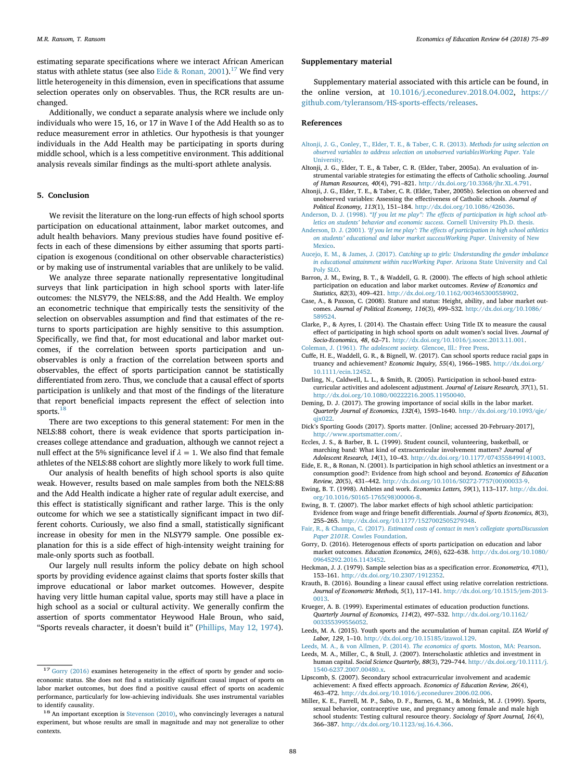estimating separate specifications where we interact African American status with athlete status (see also Eide & Ronan, 2001). $^{17}$  We find very little heterogeneity in this dimension, even in specifications that assume selection operates only on observables. Thus, the RCR results are unchanged.

Additionally, we conduct a separate analysis where we include only individuals who were 15, 16, or 17 in Wave I of the Add Health so as to reduce measurement error in athletics. Our hypothesis is that younger individuals in the Add Health may be participating in sports during middle school, which is a less competitive environment. This additional analysis reveals similar findings as the multi-sport athlete analysis.

## 5. Conclusion

We revisit the literature on the long-run effects of high school sports participation on educational attainment, labor market outcomes, and adult health behaviors. Many previous studies have found positive effects in each of these dimensions by either assuming that sports participation is exogenous (conditional on other observable characteristics) or by making use of instrumental variables that are unlikely to be valid.

We analyze three separate nationally representative longitudinal surveys that link participation in high school sports with later-life outcomes: the NLSY79, the NELS:88, and the Add Health. We employ an econometric technique that empirically tests the sensitivity of the selection on observables assumption and find that estimates of the returns to sports participation are highly sensitive to this assumption. Specifically, we find that, for most educational and labor market outcomes, if the correlation between sports participation and unobservables is only a fraction of the correlation between sports and observables, the effect of sports participation cannot be statistically differentiated from zero. Thus, we conclude that a causal effect of sports participation is unlikely and that most of the findings of the literature that report beneficial impacts represent the effect of selection into sports.<sup>18</sup>

There are two exceptions to this general statement: For men in the NELS:88 cohort, there is weak evidence that sports participation increases college attendance and graduation, although we cannot reject a null effect at the 5% significance level if  $\lambda = 1$ . We also find that female athletes of the NELS:88 cohort are slightly more likely to work full time.

Our analysis of health benefits of high school sports is also quite weak. However, results based on male samples from both the NELS:88 and the Add Health indicate a higher rate of regular adult exercise, and this effect is statistically significant and rather large. This is the only outcome for which we see a statistically significant impact in two different cohorts. Curiously, we also find a small, statistically significant increase in obesity for men in the NLSY79 sample. One possible explanation for this is a side effect of high-intensity weight training for male-only sports such as football.

Our largely null results inform the policy debate on high school sports by providing evidence against claims that sports foster skills that improve educational or labor market outcomes. However, despite having very little human capital value, sports may still have a place in high school as a social or cultural activity. We generally confirm the assertion of sports commentator Heywood Hale Broun, who said, "Sports reveals character, it doesn't build it" (Phillips, May 12, 1974).

#### Supplementary material

Supplementary material associated with this article can be found, in the online version, at 10.1016/j.econedurev.2018.04.002, https:// github.com/tyleransom/HS-sports-effects/releases.

#### References

- Altonji, J. G., Conley, T., Elder, T. E., & Taber, C. R. (2013). *Methods for using selection on observed variables to address selection on unobserved variablesWorking Paper*. Yale **University**
- Altonji, J. G., Elder, T. E., & Taber, C. R. (Elder, Taber, 2005a). An evaluation of instrumental variable strategies for estimating the effects of Catholic schooling. *Journal of Human Resources, 40*(4), 791–821. http://dx.doi.org/10.3368/jhr.XL.4.791.
- Altonji, J. G., Elder, T. E., & Taber, C. R. (Elder, Taber, 2005b). Selection on observed and unobserved variables: Assessing the effectiveness of Catholic schools. *Journal of Political Economy, 113*(1), 151–184. http://dx.doi.org/10.1086/426036.
- Anderson, D. J. (1998). "*If you let me play*"*: The e*ff*ects of participation in high school athletics on students*' *behavior and economic success*. Cornell University Ph.D. thesis.
- Anderson, D. J. (2001). '*If you let me play*'*: The e*ff*ects of participation in high school athletics on students*' *educational and labor market successWorking Paper*. University of New Mexico.
- Aucejo, E. M., & James, J. (2017). *Catching up to girls: Understanding the gender imbalance in educational attainment within raceWorking Paper*. Arizona State University and Cal Poly SLO.
- Barron, J. M., Ewing, B. T., & Waddell, G. R. (2000). The effects of high school athletic participation on education and labor market outcomes. *Review of Economics and Statistics, 82*(3), 409–421. http://dx.doi.org/10.1162/003465300558902.
- Case, A., & Paxson, C. (2008). Stature and status: Height, ability, and labor market outcomes. *Journal of Political Economy, 116*(3), 499–532. http://dx.doi.org/10.1086/ 589524.
- Clarke, P., & Ayres, I. (2014). The Chastain effect: Using Title IX to measure the causal effect of participating in high school sports on adult women's social lives. *Journal of Socio-Economics, 48*, 62–71. http://dx.doi.org/10.1016/j.socec.2013.11.001. Coleman, J. (1961). *The adolescent society.* Glencoe, Ill.: Free Press.
- Cuffe, H. E., Waddell, G. R., & Bignell, W. (2017). Can school sports reduce racial gaps in truancy and achievement? *Economic Inquiry, 55*(4), 1966–1985. http://dx.doi.org/ 10.1111/ecin.12452.
- Darling, N., Caldwell, L. L., & Smith, R. (2005). Participation in school-based extracurricular activities and adolescent adjustment. *Journal of Leisure Research, 37*(1), 51. http://dx.doi.org/10.1080/00222216.2005.11950040.
- Deming, D. J. (2017). The growing importance of social skills in the labor market. *Quarterly Journal of Economics, 132*(4), 1593–1640. http://dx.doi.org/10.1093/qje/  $q$ ix $022$ .
- Dick's Sporting Goods (2017). Sports matter. [Online; accessed 20-February-2017], http://www.sportsmatter.com/.
- Eccles, J. S., & Barber, B. L. (1999). Student council, volunteering, basketball, or marching band: What kind of extracurricular involvement matters? *Journal of Adolescent Research, 14*(1), 10–43. http://dx.doi.org/10.1177/0743558499141003.
- Eide, E. R., & Ronan, N. (2001). Is participation in high school athletics an investment or a consumption good?: Evidence from high school and beyond. *Economics of Education Review, 20*(5), 431–442. http://dx.doi.org/10.1016/S0272-7757(00)00033-9.
- Ewing, B. T. (1998). Athletes and work. *Economics Letters, 59*(1), 113–117. http://dx.doi. org/10.1016/S0165-1765(98)00006-8.
- Ewing, B. T. (2007). The labor market effects of high school athletic participation: Evidence from wage and fringe benefit differentials. *Journal of Sports Economics, 8*(3), 255–265. http://dx.doi.org/10.1177/1527002505279348.
- Fair, R., & Champa, C. (2017). *Estimated costs of contact in men*'*s collegiate sportsDiscussion Paper 2101R*. Cowles Foundation.
- Gorry, D. (2016). Heterogenous effects of sports participation on education and labor market outcomes. *Education Economics, 24*(6), 622–638. http://dx.doi.org/10.1080/ 09645292.2016.1143452.
- Heckman, J. J. (1979). Sample selection bias as a specification error. *Econometrica, 47*(1), 153–161. http://dx.doi.org/10.2307/1912352.
- Krauth, B. (2016). Bounding a linear causal effect using relative correlation restrictions. *Journal of Econometric Methods, 5*(1), 117–141. http://dx.doi.org/10.1515/jem-2013- 0013.
- Krueger, A. B. (1999). Experimental estimates of education production functions. *Quarterly Journal of Economics, 114*(2), 497–532. http://dx.doi.org/10.1162/ 003355399556052.
- Leeds, M. A. (2015). Youth sports and the accumulation of human capital. *IZA World of Labor, 129*, 1–10. http://dx.doi.org/10.15185/izawol.129.
- Leeds, M. A., & von Allmen, P. (2014). *The economics of sports.* Moston, MA: Pearson.
- Leeds, M. A., Miller, C., & Stull, J. (2007). Interscholastic athletics and investment in human capital. *Social Science Quarterly, 88*(3), 729–744. http://dx.doi.org/10.1111/j. 1540-6237.2007.00480.x.
- Lipscomb, S. (2007). Secondary school extracurricular involvement and academic achievement: A fixed effects approach. *Economics of Education Review, 26*(4), 463–472. http://dx.doi.org/10.1016/j.econedurev.2006.02.006.
- Miller, K. E., Farrell, M. P., Sabo, D. F., Barnes, G. M., & Melnick, M. J. (1999). Sports, sexual behavior, contraceptive use, and pregnancy among female and male high school students: Testing cultural resource theory. *Sociology of Sport Journal, 16*(4), 366–387. http://dx.doi.org/10.1123/ssj.16.4.366.

<sup>&</sup>lt;sup>17</sup> Gorry (2016) examines heterogeneity in the effect of sports by gender and socioeconomic status. She does not find a statistically significant causal impact of sports on labor market outcomes, but does find a positive causal effect of sports on academic performance, particularly for low-achieving individuals. She uses instrumental variables to identify causality.

<sup>18</sup> An important exception is Stevenson (2010), who convincingly leverages a natural experiment, but whose results are small in magnitude and may not generalize to other contexts.